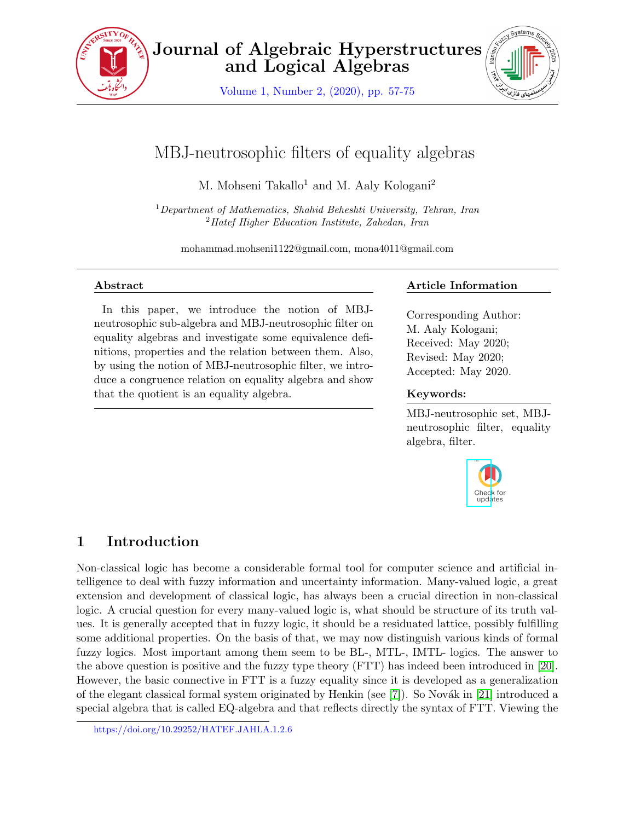

Journal of Algebraic Hyperstructures and Logical Algebras

Volume 1, Number 2, (2020), pp. 57-75



# MBJ-neutrosophic filters of equality algebras

M. Mohseni Takallo<sup>1</sup> and M. Aaly Kologani<sup>2</sup>

 $1$ Department of Mathematics, Shahid Beheshti University, Tehran, Iran  $2$ Hatef Higher Education Institute, Zahedan, Iran

mohammad.mohseni1122@gmail.com, mona4011@gmail.com

#### Abstract

In this paper, we introduce the notion of MBJneutrosophic sub-algebra and MBJ-neutrosophic filter on equality algebras and investigate some equivalence definitions, properties and the relation between them. Also, by using the notion of MBJ-neutrosophic filter, we introduce a congruence relation on equality algebra and show that the quotient is an equality algebra.

## Article Information

Corresponding Author: M. Aaly Kologani; Received: May 2020; Revised: May 2020; Accepted: May 2020.

#### Keywords:

MBJ-neutrosophic set, MBJneutrosophic filter, equality algebra, filter.



# 1 Introduction

Non-classical logic has become a considerable formal tool for computer science and artificial intelligence to deal with fuzzy information and uncertainty information. Many-valued logic, a great extension and development of classical logic, has always been a crucial direction in non-classical logic. A crucial question for every many-valued logic is, what should be structure of its truth values. It is generally accepted that in fuzzy logic, it should be a residuated lattice, possibly fulfilling some additional properties. On the basis of that, we may now distinguish various kinds of formal fuzzy logics. Most important among them seem to be BL-, MTL-, IMTL- logics. The answer to the above question is positive and the fuzzy type theory (FTT) has indeed been introduced in [\[20\]](#page-17-0). However, the basic connective in FTT is a fuzzy equality since it is developed as a generalization of the elegant classical formal system originated by Henkin (see  $[7]$ ). So Novák in [\[21\]](#page-18-0) introduced a special algebra that is called EQ-algebra and that reflects directly the syntax of FTT. Viewing the

https://doi.org/10.29252/HATEF.JAHLA.1.2.6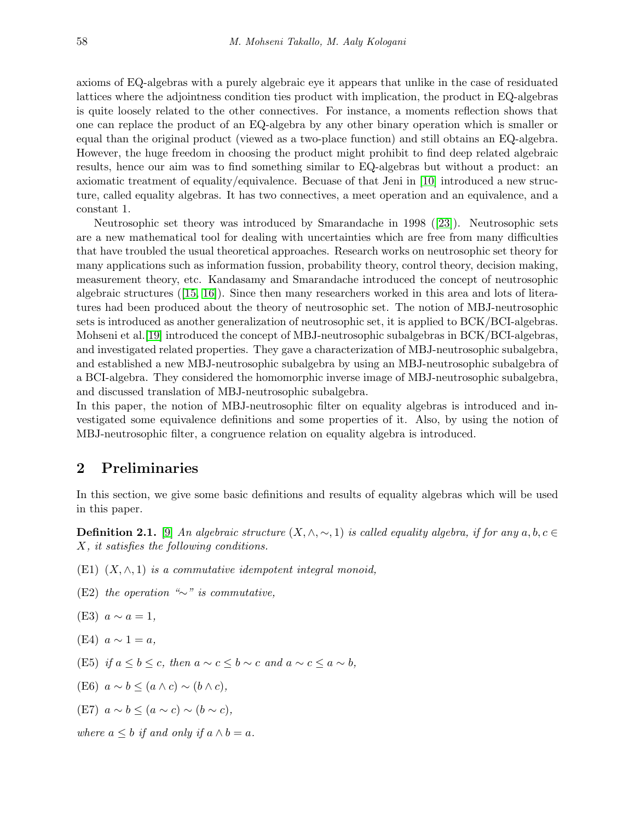axioms of EQ-algebras with a purely algebraic eye it appears that unlike in the case of residuated lattices where the adjointness condition ties product with implication, the product in EQ-algebras is quite loosely related to the other connectives. For instance, a moments reflection shows that one can replace the product of an EQ-algebra by any other binary operation which is smaller or equal than the original product (viewed as a two-place function) and still obtains an EQ-algebra. However, the huge freedom in choosing the product might prohibit to find deep related algebraic results, hence our aim was to find something similar to EQ-algebras but without a product: an axiomatic treatment of equality/equivalence. Becuase of that Jeni in [\[10\]](#page-17-2) introduced a new structure, called equality algebras. It has two connectives, a meet operation and an equivalence, and a constant 1.

Neutrosophic set theory was introduced by Smarandache in 1998 ([\[23\]](#page-18-1)). Neutrosophic sets are a new mathematical tool for dealing with uncertainties which are free from many difficulties that have troubled the usual theoretical approaches. Research works on neutrosophic set theory for many applications such as information fussion, probability theory, control theory, decision making, measurement theory, etc. Kandasamy and Smarandache introduced the concept of neutrosophic algebraic structures ([\[15,](#page-17-3) [16\]](#page-17-4)). Since then many researchers worked in this area and lots of literatures had been produced about the theory of neutrosophic set. The notion of MBJ-neutrosophic sets is introduced as another generalization of neutrosophic set, it is applied to BCK/BCI-algebras. Mohseni et al. [\[19\]](#page-17-5) introduced the concept of MBJ-neutrosophic subalgebras in BCK/BCI-algebras, and investigated related properties. They gave a characterization of MBJ-neutrosophic subalgebra, and established a new MBJ-neutrosophic subalgebra by using an MBJ-neutrosophic subalgebra of a BCI-algebra. They considered the homomorphic inverse image of MBJ-neutrosophic subalgebra, and discussed translation of MBJ-neutrosophic subalgebra.

In this paper, the notion of MBJ-neutrosophic filter on equality algebras is introduced and investigated some equivalence definitions and some properties of it. Also, by using the notion of MBJ-neutrosophic filter, a congruence relation on equality algebra is introduced.

## 2 Preliminaries

In this section, we give some basic definitions and results of equality algebras which will be used in this paper.

<span id="page-1-0"></span>**Definition 2.1.** [\[9\]](#page-17-6) An algebraic structure  $(X, \wedge, \sim, 1)$  is called equality algebra, if for any  $a, b, c \in$ X, it satisfies the following conditions.

- (E1)  $(X, \wedge, 1)$  is a commutative idempotent integral monoid,
- (E2) the operation "∼" is commutative,
- (E3)  $a \sim a = 1$ ,
- $(E4)$   $a \sim 1 = a$ ,
- (E5) if  $a \leq b \leq c$ , then  $a \sim c \leq b \sim c$  and  $a \sim c \leq a \sim b$ ,
- (E6)  $a \sim b \leq (a \wedge c) \sim (b \wedge c)$ ,
- (E7)  $a \sim b \leq (a \sim c) \sim (b \sim c)$ .

where  $a \leq b$  if and only if  $a \wedge b = a$ .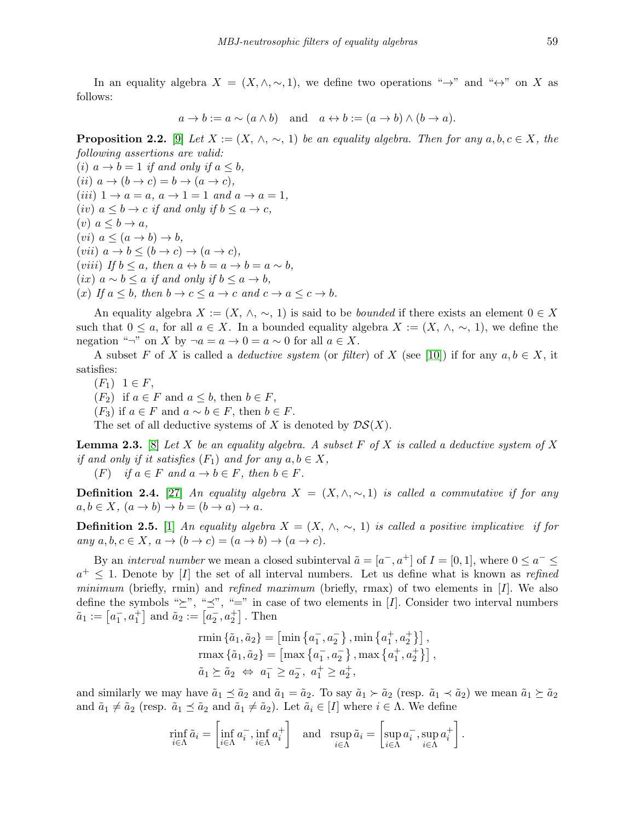In an equality algebra  $X = (X, \wedge, \sim, 1)$ , we define two operations "→" and "↔" on X as follows:

$$
a \to b := a \sim (a \land b)
$$
 and  $a \leftrightarrow b := (a \to b) \land (b \to a)$ .

<span id="page-2-0"></span>**Proposition 2.2.** [\[9\]](#page-17-6) Let  $X := (X, \wedge, \sim, 1)$  be an equality algebra. Then for any  $a, b, c \in X$ , the following assertions are valid:

(i)  $a \rightarrow b = 1$  if and only if  $a \leq b$ , (ii)  $a \to (b \to c) = b \to (a \to c)$ , (iii)  $1 \rightarrow a = a, a \rightarrow 1 = 1$  and  $a \rightarrow a = 1$ ,  $(iv)$   $a \leq b \rightarrow c$  if and only if  $b \leq a \rightarrow c$ ,  $(v)$   $a \leq b \rightarrow a$ ,  $(vi)$   $a \leq (a \rightarrow b) \rightarrow b$ ,  $(vii)$   $a \rightarrow b \leq (b \rightarrow c) \rightarrow (a \rightarrow c)$ , (viii) If  $b \leq a$ , then  $a \leftrightarrow b = a \rightarrow b = a \sim b$ , (ix)  $a \sim b \leq a$  if and only if  $b \leq a \to b$ , (x) If  $a \leq b$ , then  $b \to c \leq a \to c$  and  $c \to a \leq c \to b$ .

An equality algebra  $X := (X, \wedge, \sim, 1)$  is said to be *bounded* if there exists an element  $0 \in X$ such that  $0 \le a$ , for all  $a \in X$ . In a bounded equality algebra  $X := (X, \wedge, \sim, 1)$ , we define the negation "¬" on X by ¬ $a = a \rightarrow 0 = a \sim 0$  for all  $a \in X$ .

A subset F of X is called a *deductive system* (or filter) of X (see [\[10\]](#page-17-2)) if for any  $a, b \in X$ , it satisfies:

- $(F_1) \ 1 \in F,$
- $(F_2)$  if  $a \in F$  and  $a \leq b$ , then  $b \in F$ ,

 $(F_3)$  if  $a \in F$  and  $a \sim b \in F$ , then  $b \in F$ .

The set of all deductive systems of X is denoted by  $\mathcal{DS}(X)$ .

**Lemma 2.3.** [\[8\]](#page-17-7) Let X be an equality algebra. A subset F of X is called a deductive system of X if and only if it satisfies  $(F_1)$  and for any  $a, b \in X$ ,

 $(F)$  if  $a \in F$  and  $a \to b \in F$ , then  $b \in F$ .

**Definition 2.4.** [\[27\]](#page-18-2) An equality algebra  $X = (X, \wedge, \sim, 1)$  is called a commutative if for any  $a, b \in X$ ,  $(a \to b) \to b = (b \to a) \to a$ .

**Definition 2.5.** [\[1\]](#page-17-8) An equality algebra  $X = (X, \wedge, \sim, 1)$  is called a positive implicative if for any  $a, b, c \in X$ ,  $a \to (b \to c) = (a \to b) \to (a \to c)$ .

By an *interval number* we mean a closed subinterval  $\tilde{a} = [a^-, a^+]$  of  $I = [0, 1]$ , where  $0 \le a^- \le a^$  $a^+ \leq 1$ . Denote by [I] the set of all interval numbers. Let us define what is known as refined minimum (briefly, rmin) and refined maximum (briefly, rmax) of two elements in  $[I]$ . We also define the symbols " $\succeq$ ", " $\preceq$ ", " $=$ " in case of two elements in [I]. Consider two interval numbers  $\tilde{a}_1 := [a_1^-, a_1^+]$  and  $\tilde{a}_2 := [a_2^-, a_2^+]$ . Then

rmin 
$$
\{\tilde{a}_1, \tilde{a}_2\} = [\min \{a_1^-, a_2^-\}, \min \{a_1^+, a_2^+\}\]
$$
,  
\n $\text{rmax }{\{\tilde{a}_1, \tilde{a}_2\}} = [\max \{a_1^-, a_2^-\}, \max \{a_1^+, a_2^+\}\]$ ,  
\n $\tilde{a}_1 \succeq \tilde{a}_2 \iff a_1^- \ge a_2^-, a_1^+ \ge a_2^+$ ,

and similarly we may have  $\tilde{a}_1 \preceq \tilde{a}_2$  and  $\tilde{a}_1 = \tilde{a}_2$ . To say  $\tilde{a}_1 \succ \tilde{a}_2$  (resp.  $\tilde{a}_1 \prec \tilde{a}_2$ ) we mean  $\tilde{a}_1 \succeq \tilde{a}_2$ and  $\tilde{a}_1 \neq \tilde{a}_2$  (resp.  $\tilde{a}_1 \preceq \tilde{a}_2$  and  $\tilde{a}_1 \neq \tilde{a}_2$ ). Let  $\tilde{a}_i \in [I]$  where  $i \in \Lambda$ . We define

$$
\min_{i \in \Lambda} \tilde{a}_i = \left[ \inf_{i \in \Lambda} a_i^-, \inf_{i \in \Lambda} a_i^+ \right] \quad \text{and} \quad \operatorname{sup}_{i \in \Lambda} \tilde{a}_i = \left[ \sup_{i \in \Lambda} a_i^-, \sup_{i \in \Lambda} a_i^+ \right]
$$

.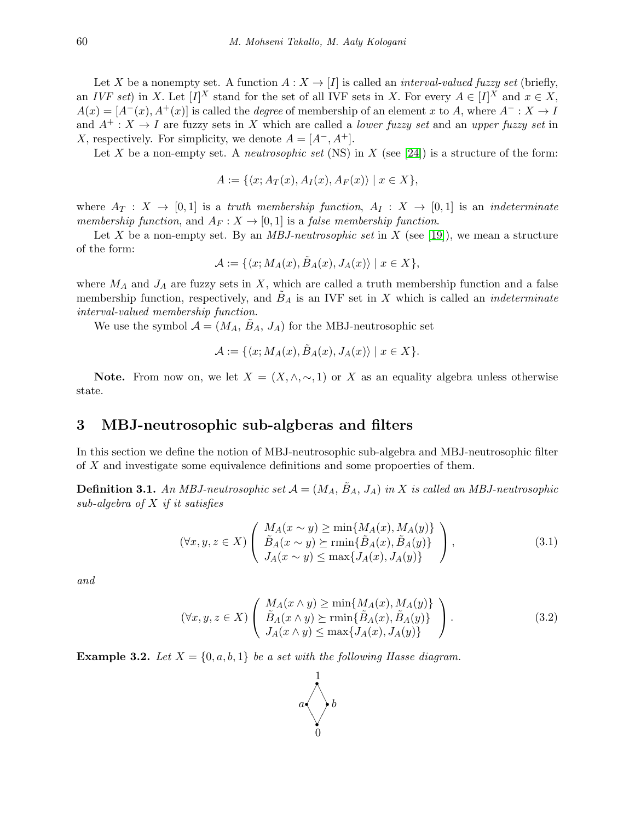Let X be a nonempty set. A function  $A: X \to [I]$  is called an *interval-valued fuzzy set* (briefly, an IVF set) in X. Let  $[I]^X$  stand for the set of all IVF sets in X. For every  $A \in [I]^X$  and  $x \in X$ ,  $A(x) = [A^-(x), A^+(x)]$  is called the *degree* of membership of an element x to A, where  $A^- : X \to I$ and  $A^+ : X \to I$  are fuzzy sets in X which are called a *lower fuzzy set* and an upper fuzzy set in X, respectively. For simplicity, we denote  $A = [A^-, A^+]$ .

Let X be a non-empty set. A *neutrosophic set* (NS) in X (see [\[24\]](#page-18-3)) is a structure of the form:

$$
A := \{ \langle x; A_T(x), A_I(x), A_F(x) \rangle \mid x \in X \},\
$$

where  $A_T : X \to [0,1]$  is a truth membership function,  $A_I : X \to [0,1]$  is an indeterminate membership function, and  $A_F: X \to [0, 1]$  is a false membership function.

Let X be a non-empty set. By an *MBJ-neutrosophic set* in X (see [\[19\]](#page-17-5)), we mean a structure of the form:

$$
\mathcal{A}:=\{\langle x;M_A(x),\tilde{B}_A(x),J_A(x)\rangle\mid x\in X\},\
$$

where  $M_A$  and  $J_A$  are fuzzy sets in X, which are called a truth membership function and a false membership function, respectively, and  $B_A$  is an IVF set in X which is called an *indeterminate* interval-valued membership function.

We use the symbol  $\mathcal{A} = (M_A, B_A, J_A)$  for the MBJ-neutrosophic set

$$
\mathcal{A} := \{ \langle x; M_A(x), \tilde{B}_A(x), J_A(x) \rangle \mid x \in X \}.
$$

Note. From now on, we let  $X = (X, \wedge, \sim, 1)$  or X as an equality algebra unless otherwise state.

### 3 MBJ-neutrosophic sub-algberas and filters

In this section we define the notion of MBJ-neutrosophic sub-algebra and MBJ-neutrosophic filter of X and investigate some equivalence definitions and some propoerties of them.

<span id="page-3-1"></span>**Definition 3.1.** An MBJ-neutrosophic set  $A = (M_A, B_A, J_A)$  in X is called an MBJ-neutrosophic sub-algebra of  $X$  if it satisfies

$$
(\forall x, y, z \in X) \left( \begin{array}{c} M_A(x \sim y) \ge \min\{M_A(x), M_A(y)\} \\ \tilde{B}_A(x \sim y) \ge \min\{\tilde{B}_A(x), \tilde{B}_A(y)\} \\ J_A(x \sim y) \le \max\{J_A(x), J_A(y)\} \end{array} \right), \tag{3.1}
$$

and

$$
(\forall x, y, z \in X) \left( \begin{array}{c} M_A(x \wedge y) \ge \min\{M_A(x), M_A(y)\} \\ \tilde{B}_A(x \wedge y) \ge \min\{\tilde{B}_A(x), \tilde{B}_A(y)\} \\ J_A(x \wedge y) \le \max\{J_A(x), J_A(y)\} \end{array} \right). \tag{3.2}
$$

<span id="page-3-0"></span>**Example 3.2.** Let  $X = \{0, a, b, 1\}$  be a set with the following Hasse diagram.

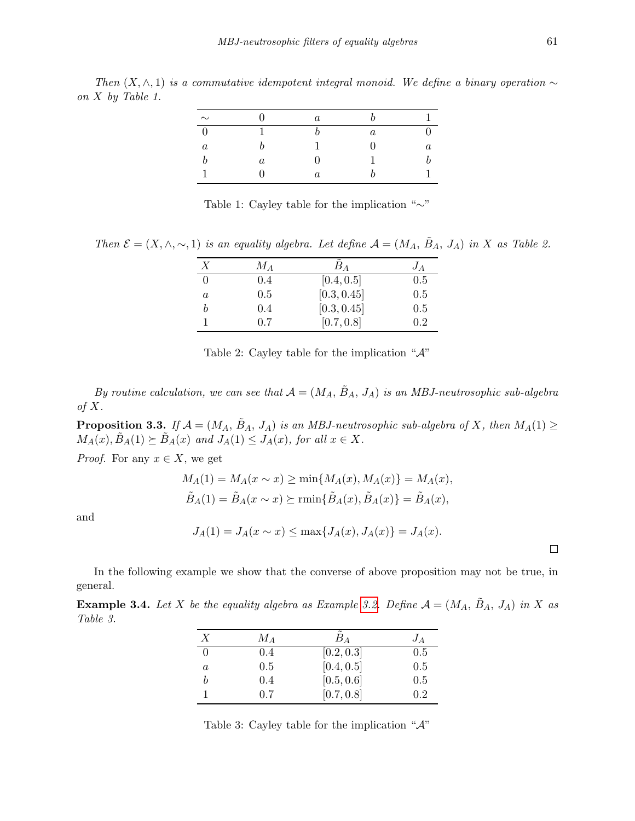Then  $(X, \wedge, 1)$  is a commutative idempotent integral monoid. We define a binary operation  $\sim$ on X by Table 1.

| $\sim$  |                  | $\boldsymbol{a}$ |         |         |
|---------|------------------|------------------|---------|---------|
| ∩       |                  |                  | $\it a$ |         |
| $\it a$ |                  |                  | וו      | $\it a$ |
| b       | $\boldsymbol{a}$ |                  |         |         |
|         |                  | $\it a$          |         |         |

Table 1: Cayley table for the implication "∼"

Then  $\mathcal{E} = (X, \wedge, \sim, 1)$  is an equality algebra. Let define  $\mathcal{A} = (M_A, \tilde{B}_A, J_A)$  in X as Table 2.

| Х | $M_A$ | $B_A$       | $J_A$ |
|---|-------|-------------|-------|
|   | 0.4   | [0.4, 0.5]  | 0.5   |
| a | 0.5   | [0.3, 0.45] | 0.5   |
| h | 0.4   | [0.3, 0.45] | 0.5   |
|   | 0.7   | [0.7, 0.8]  | 0.2   |

|  |  | Table 2: Cayley table for the implication " $\mathcal{A}$ " |  |
|--|--|-------------------------------------------------------------|--|
|  |  |                                                             |  |

By routine calculation, we can see that  $A = (M_A, \tilde{B}_A, J_A)$  is an MBJ-neutrosophic sub-algebra of  $X$ .

**Proposition 3.3.** If  $A = (M_A, \tilde{B}_A, J_A)$  is an MBJ-neutrosophic sub-algebra of X, then  $M_A(1) \geq$  $M_A(x), \tilde{B}_A(1) \succeq \tilde{B}_A(x)$  and  $J_A(1) \leq J_A(x)$ , for all  $x \in X$ .

*Proof.* For any  $x \in X$ , we get

$$
M_A(1) = M_A(x \sim x) \ge \min\{M_A(x), M_A(x)\} = M_A(x),
$$
  

$$
\tilde{B}_A(1) = \tilde{B}_A(x \sim x) \succeq \min\{\tilde{B}_A(x), \tilde{B}_A(x)\} = \tilde{B}_A(x),
$$

and

$$
J_A(1) = J_A(x \sim x) \le \max\{J_A(x), J_A(x)\} = J_A(x).
$$

 $\Box$ 

In the following example we show that the converse of above proposition may not be true, in general.

**Example 3.4.** Let X be the equality algebra as Example [3.2.](#page-3-0) Define  $A = (M_A, \tilde{B}_A, J_A)$  in X as Table 3.

| Х        | $M_A$ | $B_{A}$    | $J_A$ |
|----------|-------|------------|-------|
| $\Omega$ | 0.4   | [0.2, 0.3] | 0.5   |
| a        | 0.5   | [0.4, 0.5] | 0.5   |
| h        | 0.4   | [0.5, 0.6] | 0.5   |
|          | 0.7   | [0.7, 0.8] | 0.2   |

Table 3: Cayley table for the implication "A"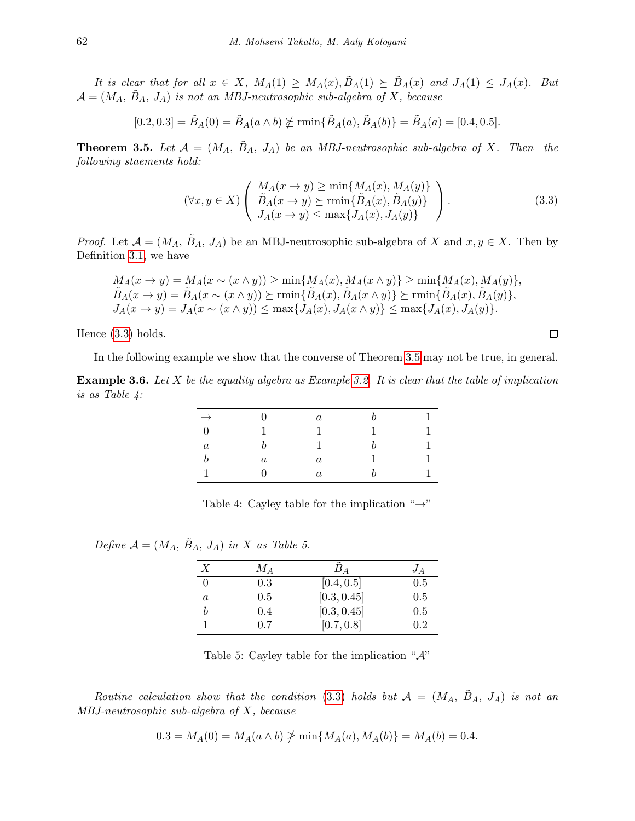It is clear that for all  $x \in X$ ,  $M_A(1) \geq M_A(x), \tilde{B}_A(1) \geq \tilde{B}_A(x)$  and  $J_A(1) \leq J_A(x)$ . But  $\mathcal{A} = (M_A, \tilde{B}_A, J_A)$  is not an MBJ-neutrosophic sub-algebra of X, because

$$
[0.2, 0.3] = \tilde{B}_A(0) = \tilde{B}_A(a \wedge b) \not\succeq \min\{\tilde{B}_A(a), \tilde{B}_A(b)\} = \tilde{B}_A(a) = [0.4, 0.5].
$$

<span id="page-5-1"></span>**Theorem 3.5.** Let  $\mathcal{A} = (M_A, B_A, J_A)$  be an MBJ-neutrosophic sub-algebra of X. Then the following staements hold:

<span id="page-5-0"></span>
$$
(\forall x, y \in X) \left( \begin{array}{c} M_A(x \to y) \ge \min\{M_A(x), M_A(y)\} \\ \tilde{B}_A(x \to y) \ge \min\{\tilde{B}_A(x), \tilde{B}_A(y)\} \\ J_A(x \to y) \le \max\{J_A(x), J_A(y)\} \end{array} \right). \tag{3.3}
$$

*Proof.* Let  $\mathcal{A} = (M_A, \tilde{B}_A, J_A)$  be an MBJ-neutrosophic sub-algebra of X and  $x, y \in X$ . Then by Definition [3.1,](#page-3-1) we have

$$
M_A(x \to y) = M_A(x \sim (x \land y)) \ge \min\{M_A(x), M_A(x \land y)\} \ge \min\{M_A(x), M_A(y)\},
$$
  
\n
$$
\tilde{B}_A(x \to y) = \tilde{B}_A(x \sim (x \land y)) \succeq \min\{\tilde{B}_A(x), \tilde{B}_A(x \land y)\} \succeq \min\{\tilde{B}_A(x), \tilde{B}_A(y)\},
$$
  
\n
$$
J_A(x \to y) = J_A(x \sim (x \land y)) \le \max\{J_A(x), J_A(x \land y)\} \le \max\{J_A(x), J_A(y)\}.
$$

Hence [\(3.3\)](#page-5-0) holds.

In the following example we show that the converse of Theorem [3.5](#page-5-1) may not be true, in general.

**Example 3.6.** Let X be the equality algebra as Example [3.2.](#page-3-0) It is clear that the table of implication is as Table 4:

|         |         | $\it a$ |  |
|---------|---------|---------|--|
|         |         |         |  |
| $\it a$ |         |         |  |
|         | $\it a$ | $\it a$ |  |
|         |         | $\it a$ |  |

Table 4: Cayley table for the implication " $\rightarrow$ "

Define  $\mathcal{A} = (M_A, B_A, J_A)$  in X as Table 5.

| $\boldsymbol{X}$ | $M_A$ | $B_A$       | $J_A$ |
|------------------|-------|-------------|-------|
| $\theta$         | 0.3   | [0.4, 0.5]  | 0.5   |
| a                | 0.5   | [0.3, 0.45] | 0.5   |
| h                | 0.4   | [0.3, 0.45] | 0.5   |
|                  | 0.7   | [0.7, 0.8]  | 0.2   |

Table 5: Cayley table for the implication " $\mathcal{A}$ "

<span id="page-5-2"></span>Routine calculation show that the condition [\(3.3\)](#page-5-0) holds but  $A = (M_A, \tilde{B}_A, J_A)$  is not an MBJ-neutrosophic sub-algebra of X, because

$$
0.3 = M_A(0) = M_A(a \wedge b) \ngeq \min\{M_A(a), M_A(b)\} = M_A(b) = 0.4.
$$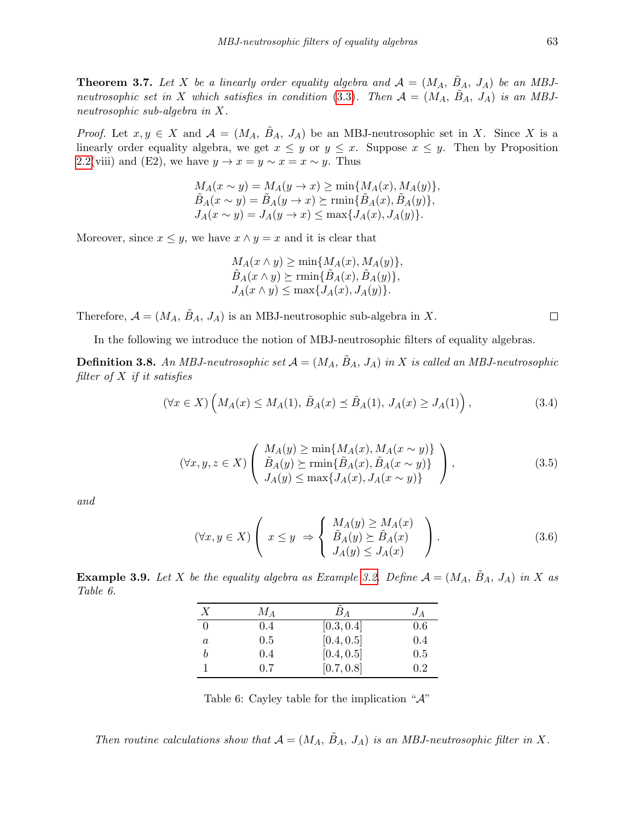**Theorem 3.7.** Let X be a linearly order equality algebra and  $A = (M_A, B_A, J_A)$  be an MBJ-neutrosophic set in X which satisfies in condition [\(3.3\)](#page-5-0). Then  $A = (M_A, B_A, J_A)$  is an MBJneutrosophic sub-algebra in X.

*Proof.* Let  $x, y \in X$  and  $\mathcal{A} = (M_A, B_A, J_A)$  be an MBJ-neutrosophic set in X. Since X is a linearly order equality algebra, we get  $x \leq y$  or  $y \leq x$ . Suppose  $x \leq y$ . Then by Proposition [2.2\(](#page-2-0)viii) and (E2), we have  $y \to x = y \sim x = x \sim y$ . Thus

$$
M_A(x \sim y) = M_A(y \to x) \ge \min\{M_A(x), M_A(y)\},
$$
  
\n
$$
\tilde{B}_A(x \sim y) = \tilde{B}_A(y \to x) \succeq \min\{\tilde{B}_A(x), \tilde{B}_A(y)\},
$$
  
\n
$$
J_A(x \sim y) = J_A(y \to x) \le \max\{J_A(x), J_A(y)\}.
$$

Moreover, since  $x \leq y$ , we have  $x \wedge y = x$  and it is clear that

<span id="page-6-0"></span>
$$
M_A(x \wedge y) \ge \min\{M_A(x), M_A(y)\},
$$
  
\n
$$
\tilde{B}_A(x \wedge y) \succeq \min\{\tilde{B}_A(x), \tilde{B}_A(y)\},
$$
  
\n
$$
J_A(x \wedge y) \le \max\{J_A(x), J_A(y)\}.
$$

Therefore,  $\mathcal{A} = (M_A, \tilde{B}_A, J_A)$  is an MBJ-neutrosophic sub-algebra in X.

In the following we introduce the notion of MBJ-neutrosophic filters of equality algebras.

<span id="page-6-1"></span>**Definition 3.8.** An MBJ-neutrosophic set  $\mathcal{A} = (M_A, B_A, J_A)$  in X is called an MBJ-neutrosophic filter of  $X$  if it satisfies

$$
(\forall x \in X) \left( M_A(x) \le M_A(1), \tilde{B}_A(x) \preceq \tilde{B}_A(1), J_A(x) \ge J_A(1) \right), \tag{3.4}
$$

$$
(\forall x, y, z \in X) \left( \begin{array}{c} M_A(y) \ge \min\{M_A(x), M_A(x \sim y)\} \\ \tilde{B}_A(y) \ge \min\{\tilde{B}_A(x), \tilde{B}_A(x \sim y)\} \\ J_A(y) \le \max\{J_A(x), J_A(x \sim y)\} \end{array} \right),
$$
\n(3.5)

and

<span id="page-6-3"></span>
$$
(\forall x, y \in X) \left( x \le y \implies \begin{cases} M_A(y) \ge M_A(x) \\ \tilde{B}_A(y) \ge \tilde{B}_A(x) \\ J_A(y) \le J_A(x) \end{cases} \right). \tag{3.6}
$$

<span id="page-6-2"></span>**Example 3.9.** Let X be the equality algebra as Example [3.2.](#page-3-0) Define  $A = (M_A, \tilde{B}_A, J_A)$  in X as Table 6.

| X | Mа  | $B_A$      | $J_A$ |
|---|-----|------------|-------|
| 0 | 0.4 | [0.3, 0.4] | 0.6   |
| a | 0.5 | [0.4, 0.5] | 0.4   |
| b | 0.4 | [0.4, 0.5] | 0.5   |
|   | 0.7 | [0.7, 0.8] | 0.2   |

Table 6: Cayley table for the implication " $\mathcal{A}$ "

Then routine calculations show that  $\mathcal{A} = (M_A, \tilde{B}_A, J_A)$  is an MBJ-neutrosophic filter in X.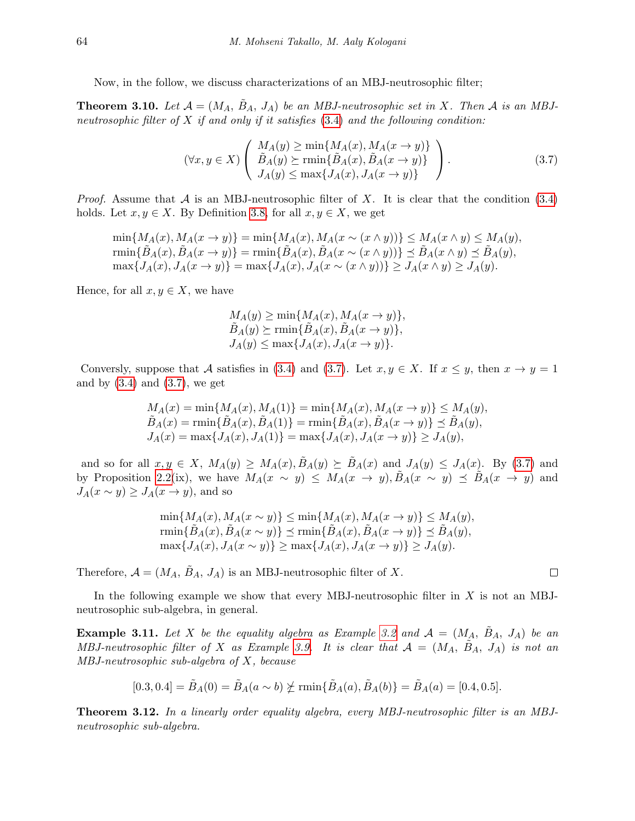Now, in the follow, we discuss characterizations of an MBJ-neutrosophic filter;

<span id="page-7-1"></span>**Theorem 3.10.** Let  $\mathcal{A} = (M_A, B_A, J_A)$  be an MBJ-neutrosophic set in X. Then A is an MBJneutrosophic filter of  $X$  if and only if it satisfies [\(3.4\)](#page-6-0) and the following condition:

$$
(\forall x, y \in X) \left( \begin{array}{c} M_A(y) \ge \min\{M_A(x), M_A(x \to y)\} \\ \tilde{B}_A(y) \ge \min\{\tilde{B}_A(x), \tilde{B}_A(x \to y)\} \\ J_A(y) \le \max\{J_A(x), J_A(x \to y)\} \end{array} \right). \tag{3.7}
$$

*Proof.* Assume that  $\mathcal A$  is an MBJ-neutrosophic filter of  $X$ . It is clear that the condition [\(3.4\)](#page-6-0) holds. Let  $x, y \in X$ . By Definition [3.8,](#page-6-1) for all  $x, y \in X$ , we get

 $\min\{M_A(x), M_A(x \to y)\} = \min\{M_A(x), M_A(x \sim (x \land y))\} \leq M_A(x \land y) \leq M_A(y),$ rmin $\{\tilde{B}_A(x), \tilde{B}_A(x \to y)\} = \min\{\tilde{B}_A(x), \tilde{B}_A(x \sim (x \land y))\} \preceq \tilde{B}_A(x \land y) \preceq \tilde{B}_A(y),$  $\max\{J_A(x), J_A(x \to y)\} = \max\{J_A(x), J_A(x \sim (x \land y))\} \ge J_A(x \land y) \ge J_A(y).$ 

Hence, for all  $x, y \in X$ , we have

<span id="page-7-0"></span>
$$
M_A(y) \ge \min\{M_A(x), M_A(x \to y)\},
$$
  
\n
$$
\tilde{B}_A(y) \ge \min\{\tilde{B}_A(x), \tilde{B}_A(x \to y)\},
$$
  
\n
$$
J_A(y) \le \max\{J_A(x), J_A(x \to y)\}.
$$

Conversly, suppose that A satisfies in [\(3.4\)](#page-6-0) and [\(3.7\)](#page-7-0). Let  $x, y \in X$ . If  $x \leq y$ , then  $x \to y = 1$ and by  $(3.4)$  and  $(3.7)$ , we get

$$
M_A(x) = \min\{M_A(x), M_A(1)\} = \min\{M_A(x), M_A(x \to y)\} \le M_A(y),
$$
  
\n
$$
\tilde{B}_A(x) = \min\{\tilde{B}_A(x), \tilde{B}_A(1)\} = \min\{\tilde{B}_A(x), \tilde{B}_A(x \to y)\} \le \tilde{B}_A(y),
$$
  
\n
$$
J_A(x) = \max\{J_A(x), J_A(1)\} = \max\{J_A(x), J_A(x \to y)\} \ge J_A(y),
$$

and so for all  $x, y \in X$ ,  $M_A(y) \geq M_A(x), \tilde{B}_A(y) \geq \tilde{B}_A(x)$  and  $J_A(y) \leq J_A(x)$ . By [\(3.7\)](#page-7-0) and by Proposition [2.2\(](#page-2-0)ix), we have  $M_A(x \sim y) \leq M_A(x \to y)$ ,  $\tilde{B}_A(x \sim y) \preceq \tilde{B}_A(x \to y)$  and  $J_A(x \sim y) \geq J_A(x \to y)$ , and so

> $\min\{M_A(x), M_A(x \sim y)\} \leq \min\{M_A(x), M_A(x \to y)\} \leq M_A(y),$ rmin $\{\tilde{B}_A(x), \tilde{B}_A(x \sim y)\}\preceq \min\{\tilde{B}_A(x), \tilde{B}_A(x \rightarrow y)\}\preceq \tilde{B}_A(y),$  $\max\{J_A(x), J_A(x \sim y)\}\geq \max\{J_A(x), J_A(x \rightarrow y)\}\geq J_A(y).$

Therefore,  $\mathcal{A} = (M_A, B_A, J_A)$  is an MBJ-neutrosophic filter of X.

In the following example we show that every MBJ-neutrosophic filter in  $X$  is not an MBJneutrosophic sub-algebra, in general.

**Example 3.11.** Let X be the equality algebra as Example [3.2](#page-3-0) and  $A = (M_A, \tilde{B}_A, J_A)$  be an MBJ-neutrosophic filter of X as Example [3.9.](#page-6-2) It is clear that  $A = (M_A, \tilde{B}_A, J_A)$  is not an MBJ-neutrosophic sub-algebra of X, because

$$
[0.3, 0.4] = \tilde{B}_A(0) = \tilde{B}_A(a \sim b) \not\succeq \min\{\tilde{B}_A(a), \tilde{B}_A(b)\} = \tilde{B}_A(a) = [0.4, 0.5].
$$

Theorem 3.12. In a linearly order equality algebra, every MBJ-neutrosophic filter is an MBJneutrosophic sub-algebra.

$$
\qquad \qquad \Box
$$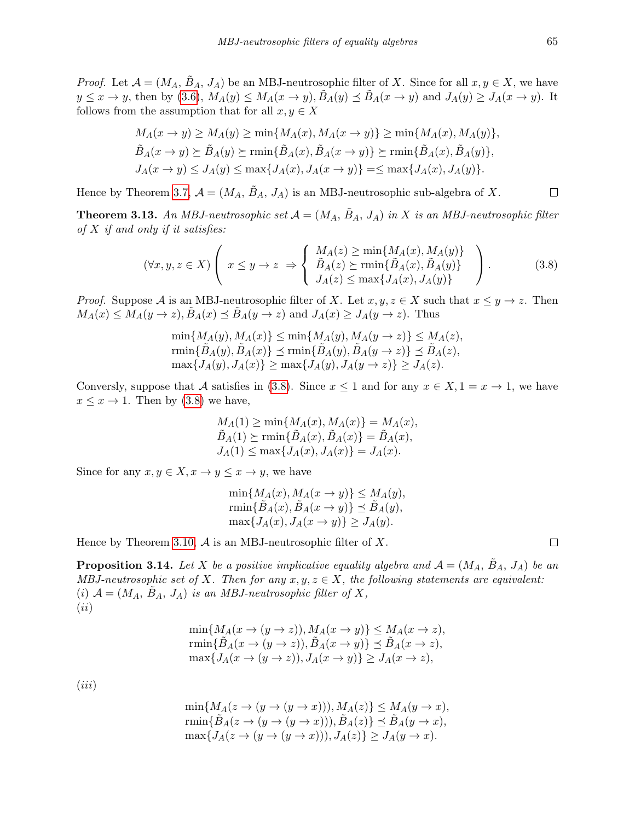*Proof.* Let  $\mathcal{A} = (M_A, B_A, J_A)$  be an MBJ-neutrosophic filter of X. Since for all  $x, y \in X$ , we have  $y \leq x \to y$ , then by [\(3.6\)](#page-6-3),  $M_A(y) \leq M_A(x \to y)$ ,  $\tilde{B}_A(y) \leq \tilde{B}_A(x \to y)$  and  $J_A(y) \geq J_A(x \to y)$ . It follows from the assumption that for all  $x, y \in X$ 

$$
M_A(x \to y) \ge M_A(y) \ge \min\{M_A(x), M_A(x \to y)\} \ge \min\{M_A(x), M_A(y)\},
$$
  
\n
$$
\tilde{B}_A(x \to y) \ge \tilde{B}_A(y) \ge \min\{\tilde{B}_A(x), \tilde{B}_A(x \to y)\} \ge \min\{\tilde{B}_A(x), \tilde{B}_A(y)\},
$$
  
\n
$$
J_A(x \to y) \le J_A(y) \le \max\{J_A(x), J_A(x \to y)\} = \le \max\{J_A(x), J_A(y)\}.
$$

Hence by Theorem [3.7,](#page-5-2)  $\mathcal{A} = (M_A, B_A, J_A)$  is an MBJ-neutrosophic sub-algebra of X.

<span id="page-8-1"></span>**Theorem 3.13.** An MBJ-neutrosophic set  $A = (M_A, B_A, J_A)$  in X is an MBJ-neutrosophic filter of  $X$  if and only if it satisfies:

$$
(\forall x, y, z \in X) \left( x \le y \to z \implies \begin{cases} M_A(z) \ge \min\{M_A(x), M_A(y)\} \\ \tilde{B}_A(z) \ge \min\{\tilde{B}_A(x), \tilde{B}_A(y)\} \\ J_A(z) \le \max\{J_A(x), J_A(y)\} \end{cases} \right). \tag{3.8}
$$

*Proof.* Suppose A is an MBJ-neutrosophic filter of X. Let  $x, y, z \in X$  such that  $x \leq y \to z$ . Then  $M_A(x) \leq M_A(y \to z), B_A(x) \leq B_A(y \to z)$  and  $J_A(x) \geq J_A(y \to z)$ . Thus

$$
\min\{M_A(y), M_A(x)\} \le \min\{M_A(y), M_A(y \to z)\} \le M_A(z),
$$
  
\n
$$
\min\{\tilde{B}_A(y), \tilde{B}_A(x)\} \le \min\{\tilde{B}_A(y), \tilde{B}_A(y \to z)\} \le \tilde{B}_A(z),
$$
  
\n
$$
\max\{J_A(y), J_A(x)\} \ge \max\{J_A(y), J_A(y \to z)\} \ge J_A(z).
$$

Conversly, suppose that A satisfies in [\(3.8\)](#page-8-0). Since  $x \le 1$  and for any  $x \in X$ ,  $1 = x \to 1$ , we have  $x \leq x \to 1$ . Then by [\(3.8\)](#page-8-0) we have,

$$
M_A(1) \ge \min\{M_A(x), M_A(x)\} = M_A(x),
$$
  
\n
$$
\tilde{B}_A(1) \ge \min\{\tilde{B}_A(x), \tilde{B}_A(x)\} = \tilde{B}_A(x),
$$
  
\n
$$
J_A(1) \le \max\{J_A(x), J_A(x)\} = J_A(x).
$$

Since for any  $x, y \in X, x \to y \leq x \to y$ , we have

$$
\min\{M_A(x), M_A(x \to y)\} \le M_A(y),
$$
  
\n
$$
\min\{\tilde{B}_A(x), \tilde{B}_A(x \to y)\} \le \tilde{B}_A(y),
$$
  
\n
$$
\max\{J_A(x), J_A(x \to y)\} \ge J_A(y).
$$

Hence by Theorem [3.10,](#page-7-1)  $\mathcal A$  is an MBJ-neutrosophic filter of X.

**Proposition 3.14.** Let X be a positive implicative equality algebra and  $A = (M_A, B_A, J_A)$  be an MBJ-neutrosophic set of X. Then for any  $x, y, z \in X$ , the following statements are equivalent: (i)  $\mathcal{A} = (M_A, \tilde{B}_A, J_A)$  is an MBJ-neutrosophic filter of X,  $(ii)$ 

$$
\min\{M_A(x \to (y \to z)), M_A(x \to y)\} \le M_A(x \to z),
$$
  
\n
$$
\min\{\tilde{B}_A(x \to (y \to z)), \tilde{B}_A(x \to y)\} \le \tilde{B}_A(x \to z),
$$
  
\n
$$
\max\{J_A(x \to (y \to z)), J_A(x \to y)\} \ge J_A(x \to z),
$$

 $(iii)$ 

$$
\min\{M_A(z \to (y \to (y \to x))), M_A(z)\} \le M_A(y \to x),
$$
  
\n
$$
\min\{\tilde{B}_A(z \to (y \to (y \to x))), \tilde{B}_A(z)\} \le \tilde{B}_A(y \to x),
$$
  
\n
$$
\max\{J_A(z \to (y \to (y \to x))), J_A(z)\} \ge J_A(y \to x).
$$

<span id="page-8-0"></span> $\Box$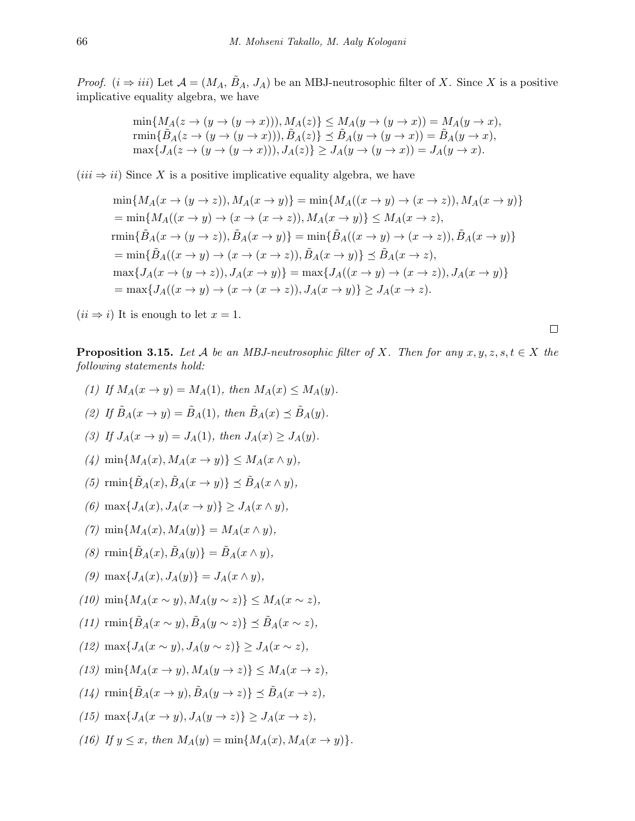*Proof.*  $(i \Rightarrow iii)$  Let  $\mathcal{A} = (M_A, \tilde{B}_A, J_A)$  be an MBJ-neutrosophic filter of X. Since X is a positive implicative equality algebra, we have

$$
\min\{M_A(z \to (y \to (y \to x))), M_A(z)\} \le M_A(y \to (y \to x)) = M_A(y \to x),
$$
  
\n
$$
\min\{\tilde{B}_A(z \to (y \to (y \to x))), \tilde{B}_A(z)\} \le \tilde{B}_A(y \to (y \to x)) = \tilde{B}_A(y \to x),
$$
  
\n
$$
\max\{J_A(z \to (y \to (y \to x))), J_A(z)\} \ge J_A(y \to (y \to x)) = J_A(y \to x).
$$

 $(iii \Rightarrow ii)$  Since X is a positive implicative equality algebra, we have

$$
\min\{M_A(x\to (y\to z)), M_A(x\to y)\} = \min\{M_A((x\to y)\to (x\to z)), M_A(x\to y)\}
$$
  
\n
$$
= \min\{M_A((x\to y)\to (x\to (x\to z)), M_A(x\to y)\} \le M_A(x\to z),
$$
  
\n
$$
\min\{\tilde{B}_A(x\to (y\to z)), \tilde{B}_A(x\to y)\} = \min\{\tilde{B}_A((x\to y)\to (x\to z)), \tilde{B}_A(x\to y)\}
$$
  
\n
$$
= \min\{\tilde{B}_A((x\to y)\to (x\to (x\to z)), \tilde{B}_A(x\to y)\} \le \tilde{B}_A(x\to z),
$$
  
\n
$$
\max\{J_A(x\to (y\to z)), J_A(x\to y)\} = \max\{J_A((x\to y)\to (x\to z)), J_A(x\to y)\}
$$
  
\n
$$
= \max\{J_A((x\to y)\to (x\to (x\to z)), J_A(x\to y)\} \ge J_A(x\to z).
$$

 $(ii \Rightarrow i)$  It is enough to let  $x = 1$ .

 $\Box$ 

**Proposition 3.15.** Let A be an MBJ-neutrosophic filter of X. Then for any  $x, y, z, s, t \in X$  the following statements hold:

(1) If 
$$
M_A(x \to y) = M_A(1)
$$
, then  $M_A(x) \le M_A(y)$ .  
\n(2) If  $\tilde{B}_A(x \to y) = \tilde{B}_A(1)$ , then  $\tilde{B}_A(x) \le \tilde{B}_A(y)$ .  
\n(3) If  $J_A(x \to y) = J_A(1)$ , then  $J_A(x) \ge J_A(y)$ .  
\n(4)  $\min\{M_A(x), M_A(x \to y)\} \le M_A(x \land y)$ ,  
\n(5)  $\operatorname{rmin}\{\tilde{B}_A(x), \tilde{B}_A(x \to y)\} \le \tilde{B}_A(x \land y)$ ,  
\n(6)  $\max\{J_A(x), J_A(x \to y)\} \ge J_A(x \land y)$ ,  
\n(7)  $\min\{M_A(x), M_A(y)\} = M_A(x \land y)$ ,  
\n(8)  $\operatorname{rmin}\{\tilde{B}_A(x), \tilde{B}_A(y)\} = \tilde{B}_A(x \land y)$ ,  
\n(9)  $\max\{J_A(x), J_A(y)\} = J_A(x \land y)$ ,  
\n(10)  $\min\{M_A(x \sim y), M_A(y \sim z)\} \le M_A(x \sim z)$ ,  
\n(11)  $\operatorname{rmin}\{\tilde{B}_A(x \sim y), \tilde{B}_A(y \sim z)\} \le \tilde{B}_A(x \sim z)$ ,  
\n(12)  $\max\{J_A(x \sim y), J_A(y \sim z)\} \ge J_A(x \sim z)$ ,  
\n(13)  $\min\{M_A(x \to y), M_A(y \to z)\} \le M_A(x \to z)$ ,  
\n(14)  $\operatorname{rmin}\{\tilde{B}_A(x \to y), \tilde{B}_A(y \to z)\} \le \tilde{B}_A(x \to z)$ ,  
\n(15)  $\max\{J_A(x \to y), J_A(y \to z)\} \ge J_A(x \to z)$ ,  
\n(16) If  $y \le x$ , then  $M_A(y) = \min\{M_A(x), M_A(x \to y)\}$ .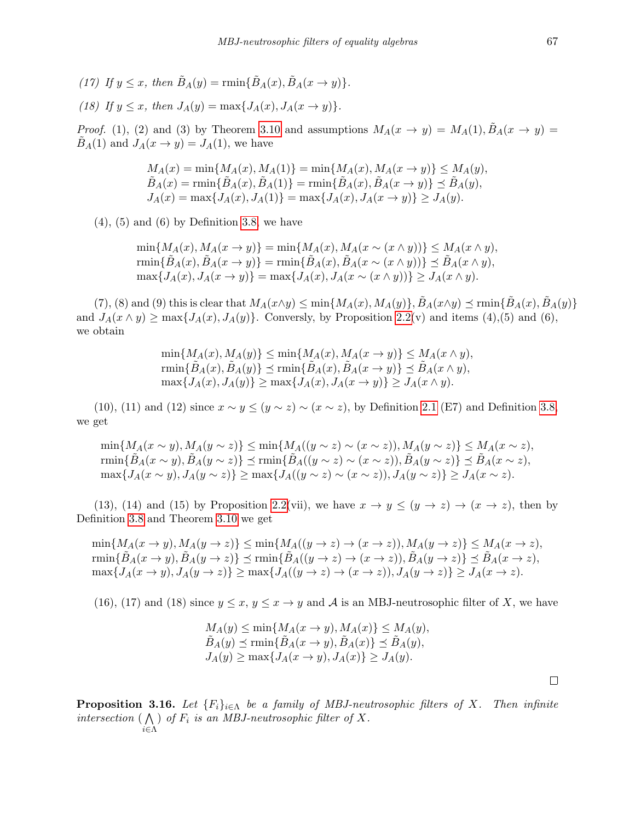(17) If  $y \leq x$ , then  $\tilde{B}_A(y) = \min{\{\tilde{B}_A(x), \tilde{B}_A(x \rightarrow y)\}}$ .

(18) If 
$$
y \leq x
$$
, then  $J_A(y) = \max\{J_A(x), J_A(x \to y)\}.$ 

*Proof.* (1), (2) and (3) by Theorem [3.10](#page-7-1) and assumptions  $M_A(x \to y) = M_A(1), B_A(x \to y) =$  $\tilde{B}_A(1)$  and  $J_A(x \to y) = J_A(1)$ , we have

$$
M_A(x) = \min\{M_A(x), M_A(1)\} = \min\{M_A(x), M_A(x \to y)\} \le M_A(y),
$$
  
\n
$$
\tilde{B}_A(x) = \min\{\tilde{B}_A(x), \tilde{B}_A(1)\} = \min\{\tilde{B}_A(x), \tilde{B}_A(x \to y)\} \le \tilde{B}_A(y),
$$
  
\n
$$
J_A(x) = \max\{J_A(x), J_A(1)\} = \max\{J_A(x), J_A(x \to y)\} \ge J_A(y).
$$

 $(4)$ ,  $(5)$  and  $(6)$  by Definition [3.8,](#page-6-1) we have

 $\min\{M_A(x), M_A(x \to y)\} = \min\{M_A(x), M_A(x \sim (x \land y))\} \leq M_A(x \land y),$ rmin $\{\tilde{B}_A(x), \tilde{B}_A(x \to y)\} = \min\{\tilde{B}_A(x), \tilde{B}_A(x \sim (x \wedge y))\} \preceq \tilde{B}_A(x \wedge y),$  $\max\{J_A(x), J_A(x \to y)\} = \max\{J_A(x), J_A(x \sim (x \land y))\} > J_A(x \land y).$ 

(7), (8) and (9) this is clear that  $M_A(x \wedge y) \le \min\{M_A(x), M_A(y)\}, \tilde{B}_A(x \wedge y) \le \min\{\tilde{B}_A(x), \tilde{B}_A(y)\}$ and  $J_A(x \wedge y) \ge \max\{J_A(x), J_A(y)\}\.$  Conversly, by Proposition [2.2\(](#page-2-0)v) and items (4),(5) and (6), we obtain

> $\min\{M_A(x), M_A(y)\} \leq \min\{M_A(x), M_A(x \to y)\} \leq M_A(x \wedge y),$  $\min\{\tilde{B}_A(x),\tilde{B}_A(y)\}\preceq \min\{\tilde{B}_A(x),\tilde{B}_A(x\rightarrow y)\}\preceq \tilde{B}_A(x\wedge y),$  $\max\{J_A(x), J_A(y)\}\geq \max\{J_A(x), J_A(x \to y)\}\geq J_A(x \wedge y).$

(10), (11) and (12) since  $x \sim y \le (y \sim z) \sim (x \sim z)$ , by Definition [2.1](#page-1-0) (E7) and Definition [3.8,](#page-6-1) we get

 $\min\{M_A(x \sim y), M_A(y \sim z)\} \leq \min\{M_A((y \sim z) \sim (x \sim z)), M_A(y \sim z)\} \leq M_A(x \sim z),$ rmin $\{\tilde{B}_A(x \sim y), \tilde{B}_A(y \sim z)\}\preceq \min\{\tilde{B}_A((y \sim z) \sim (x \sim z)), \tilde{B}_A(y \sim z)\}\preceq \tilde{B}_A(x \sim z),$ max{ $J_A(x \sim y)$ ,  $J_A(y \sim z)$ } ≥ max{ $J_A((y \sim z) \sim (x \sim z))$ ,  $J_A(y \sim z)$ } ≥  $J_A(x \sim z)$ .

(13), (14) and (15) by Proposition [2.2\(](#page-2-0)vii), we have  $x \to y \leq (y \to z) \to (x \to z)$ , then by Definition [3.8](#page-6-1) and Theorem [3.10](#page-7-1) we get

 $\min\{M_A(x \to y), M_A(y \to z)\}\leq \min\{M_A((y \to z) \to (x \to z)), M_A(y \to z)\}\leq M_A(x \to z),$  $\text{rmin}\{\tilde{B}_A(x \to y), \tilde{B}_A(y \to z)\} \preceq \text{rmin}\{\tilde{B}_A((y \to z) \to (x \to z)), \tilde{B}_A(y \to z)\} \preceq \tilde{B}_A(x \to z),$  $\max\{J_A(x\to y), J_A(y\to z)\}\geq \max\{J_A((y\to z)\to (x\to z)), J_A(y\to z)\}\geq J_A(x\to z).$ 

(16), (17) and (18) since  $y \leq x, y \leq x \rightarrow y$  and A is an MBJ-neutrosophic filter of X, we have

$$
M_A(y) \le \min\{M_A(x \to y), M_A(x)\} \le M_A(y),
$$
  
\n
$$
\tilde{B}_A(y) \le \min\{\tilde{B}_A(x \to y), \tilde{B}_A(x)\} \le \tilde{B}_A(y),
$$
  
\n
$$
J_A(y) \ge \max\{J_A(x \to y), J_A(x)\} \ge J_A(y).
$$

**Proposition 3.16.** Let  ${F_i}_{i \in \Lambda}$  be a family of MBJ-neutrosophic filters of X. Then infinite intersection  $(\bigwedge)$  of  $F_i$  is an MBJ-neutrosophic filter of X. i∈Λ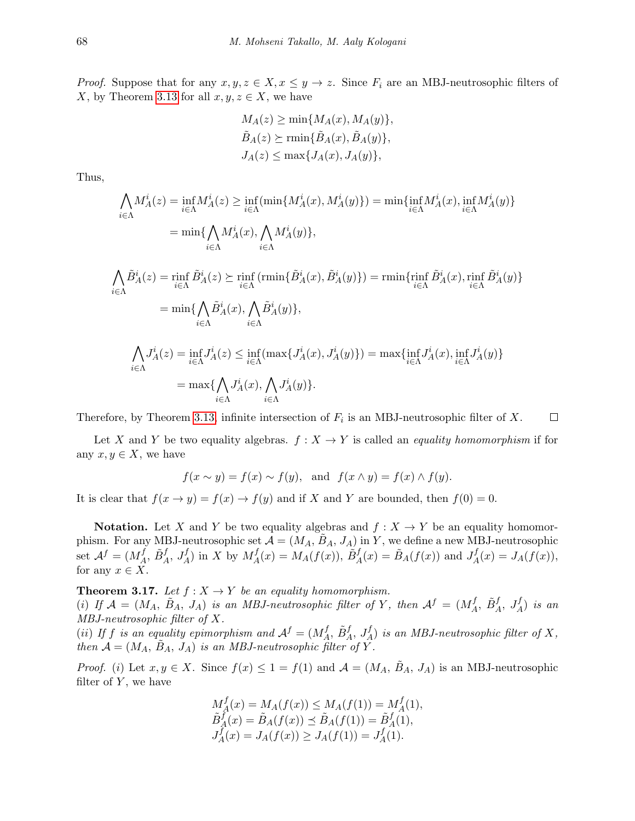*Proof.* Suppose that for any  $x, y, z \in X, x \leq y \to z$ . Since  $F_i$  are an MBJ-neutrosophic filters of X, by Theorem [3.13](#page-8-1) for all  $x, y, z \in X$ , we have

$$
M_A(z) \ge \min\{M_A(x), M_A(y)\},
$$
  

$$
\tilde{B}_A(z) \ge \min\{\tilde{B}_A(x), \tilde{B}_A(y)\},
$$
  

$$
J_A(z) \le \max\{J_A(x), J_A(y)\},
$$

Thus,

$$
\begin{split} \bigwedge_{i \in \Lambda} &M_A^i(z) = \inf_{i \in \Lambda} M_A^i(z) \geq \inf_{i \in \Lambda} (\min \{ M_A^i(x), M_A^i(y) \}) = \min \{ \inf_{i \in \Lambda} M_A^i(x), \inf_{i \in \Lambda} M_A^i(y) \} \\ &= \min \{ \bigwedge_{i \in \Lambda} M_A^i(x), \bigwedge_{i \in \Lambda} M_A^i(y) \}, \\ \bigwedge_{i \in \Lambda} \tilde{B}_A^i(z) = \inf_{i \in \Lambda} \tilde{B}_A^i(z) \succeq \inf_{i \in \Lambda} (\min \{ \tilde{B}_A^i(x), \tilde{B}_A^i(y) \}) = \min \{ \inf_{i \in \Lambda} \tilde{B}_A^i(x), \inf_{i \in \Lambda} \tilde{B}_A^i(y) \} \\ &= \min \{ \bigwedge_{i \in \Lambda} \tilde{B}_A^i(x), \bigwedge_{i \in \Lambda} \tilde{B}_A^i(y) \}, \\ \bigwedge_{i \in \Lambda} J_A^i(z) = \inf_{i \in \Lambda} J_A^i(z) \leq \inf_{i \in \Lambda} (\max \{ J_A^i(x), J_A^i(y) \}) = \max \{ \inf_{i \in \Lambda} J_A^i(x), \inf_{i \in \Lambda} J_A^i(y) \} \\ &\text{and} \end{split}
$$

 $\Box$ Therefore, by Theorem [3.13,](#page-8-1) infinite intersection of  $F_i$  is an MBJ-neutrosophic filter of X.

 $J_A^i(y)\}.$ 

Let X and Y be two equality algebras.  $f: X \to Y$  is called an *equality homomorphism* if for any  $x, y \in X$ , we have

$$
f(x \sim y) = f(x) \sim f(y)
$$
, and  $f(x \wedge y) = f(x) \wedge f(y)$ .

It is clear that  $f(x \to y) = f(x) \to f(y)$  and if X and Y are bounded, then  $f(0) = 0$ .

 $=$  max{ $\bigwedge$ 

i∈Λ

 $J_A^i(x)$ ,  $\bigwedge$ 

i∈Λ

**Notation.** Let X and Y be two equality algebras and  $f: X \to Y$  be an equality homomorphism. For any MBJ-neutrosophic set  $\mathcal{A} = (M_A, \tilde{B}_A, J_A)$  in Y, we define a new MBJ-neutrosophic set  $\mathcal{A}^f = (M_A^f)$  $A^f$ ,  $\tilde{B}^f_A$ ,  $J_A^f$ ) in X by  $M_A^f$  $A_A^f(x) = M_A(f(x)), \,\tilde{B}_A^f(x) = \tilde{B}_A(f(x))$  and  $J_A^f$  $J_A^f(x) = J_A(f(x)),$ for any  $x \in X$ .

**Theorem 3.17.** Let  $f : X \to Y$  be an equality homomorphism. (i) If  $\mathcal{A} = (M_A, \tilde{B}_A, J_A)$  is an MBJ-neutrosophic filter of Y, then  $\mathcal{A}^f = (M_A^f, J_A^f)$  $A, \tilde{B}^f_A, J_A^f$  is an MBJ-neutrosophic filter of X.

(ii) If f is an equality epimorphism and  $A^f = (M_A^f)$  $A, \tilde{B}^{f}_A, J_A^f$  is an MBJ-neutrosophic filter of X, then  $\mathcal{A} = (M_A, \tilde{B}_A, J_A)$  is an MBJ-neutrosophic filter of Y.

*Proof.* (i) Let  $x, y \in X$ . Since  $f(x) \leq 1 = f(1)$  and  $\mathcal{A} = (M_A, B_A, J_A)$  is an MBJ-neutrosophic filter of  $Y$ , we have

$$
M_A^f(x) = M_A(f(x)) \le M_A(f(1)) = M_A^f(1),
$$
  
\n
$$
\tilde{B}_A^f(x) = \tilde{B}_A(f(x)) \le \tilde{B}_A(f(1)) = \tilde{B}_A^f(1),
$$
  
\n
$$
J_A^f(x) = J_A(f(x)) \ge J_A(f(1)) = J_A^f(1).
$$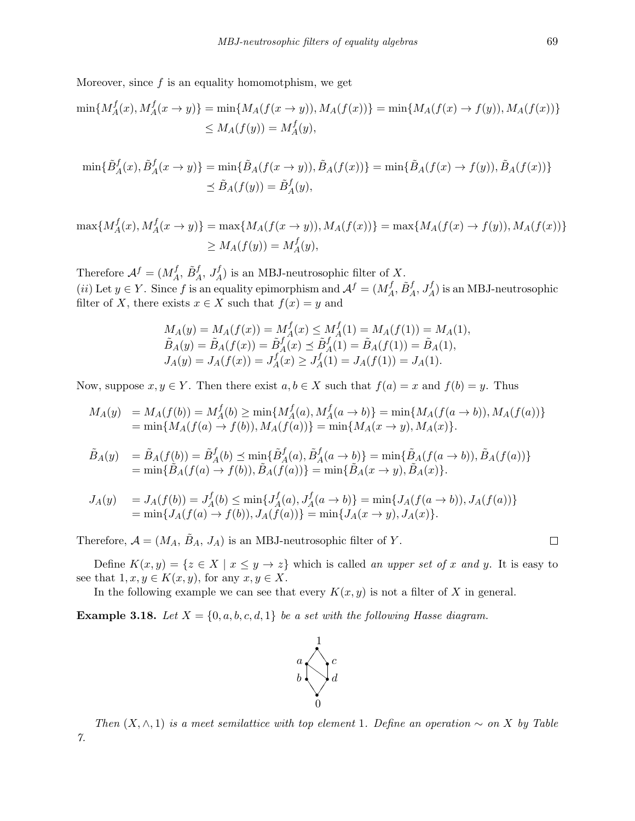Moreover, since  $f$  is an equality homomotphism, we get

$$
\min\{M_A^f(x), M_A^f(x \to y)\} = \min\{M_A(f(x \to y)), M_A(f(x))\} = \min\{M_A(f(x) \to f(y)), M_A(f(x))\}
$$
  

$$
\leq M_A(f(y)) = M_A^f(y),
$$

$$
\min\{\tilde{B}_A^f(x), \tilde{B}_A^f(x \to y)\} = \min\{\tilde{B}_A(f(x \to y)), \tilde{B}_A(f(x))\} = \min\{\tilde{B}_A(f(x) \to f(y)), \tilde{B}_A(f(x))\}
$$
  

$$
\leq \tilde{B}_A(f(y)) = \tilde{B}_A^f(y),
$$

$$
\max\{M_A^f(x), M_A^f(x \to y)\} = \max\{M_A(f(x \to y)), M_A(f(x))\} = \max\{M_A(f(x) \to f(y)), M_A(f(x))\}
$$
  

$$
\ge M_A(f(y)) = M_A^f(y),
$$

Therefore  $\mathcal{A}^f = (M_A^f, \tilde{B}_A^f, J_A^f)$  is an MBJ-neutrosophic filter of X. Therefore  $A^* = (M_A, D_A, J_A)$  is an MBJ-heutiosophic lifter of  $(ii)$  Let  $y \in Y$ . Since f is an equality epimorphism and  $A^f = (M_A^f)$  $A^f_A, \tilde{B}^f_A, J_A^f)$  is an MBJ-neutrosophic filter of X, there exists  $x \in X$  such that  $f(x) = y$  and

$$
M_A(y) = M_A(f(x)) = M_A^f(x) \le M_A^f(1) = M_A(f(1)) = M_A(1),
$$
  
\n
$$
\tilde{B}_A(y) = \tilde{B}_A(f(x)) = \tilde{B}_A^f(x) \le \tilde{B}_A^f(1) = \tilde{B}_A(f(1)) = \tilde{B}_A(1),
$$
  
\n
$$
J_A(y) = J_A(f(x)) = J_A^f(x) \ge J_A^f(1) = J_A(f(1)) = J_A(1).
$$

Now, suppose  $x, y \in Y$ . Then there exist  $a, b \in X$  such that  $f(a) = x$  and  $f(b) = y$ . Thus

$$
M_A(y) = M_A(f(b)) = M_A^f(b) \ge \min\{M_A^f(a), M_A^f(a \to b)\} = \min\{M_A(f(a \to b)), M_A(f(a))\}
$$
  
=  $\min\{M_A(f(a) \to f(b)), M_A(f(a))\} = \min\{M_A(x \to y), M_A(x)\}.$ 

$$
\tilde{B}_A(y) = \tilde{B}_A(f(b)) = \tilde{B}_A^f(b) \le \min\{\tilde{B}_A^f(a), \tilde{B}_A^f(a \to b)\} = \min\{\tilde{B}_A(f(a \to b)), \tilde{B}_A(f(a))\} \n= \min\{\tilde{B}_A(f(a) \to f(b)), \tilde{B}_A(f(a))\} = \min\{\tilde{B}_A(x \to y), \tilde{B}_A(x)\}.
$$

$$
J_A(y) = J_A(f(b)) = J_A^f(b) \le \min\{J_A^f(a), J_A^f(a \to b)\} = \min\{J_A(f(a \to b)), J_A(f(a))\}
$$
  
=  $\min\{J_A(f(a) \to f(b)), J_A(f(a))\} = \min\{J_A(x \to y), J_A(x)\}.$ 

Therefore,  $\mathcal{A} = (M_A, \tilde{B}_A, J_A)$  is an MBJ-neutrosophic filter of Y.

Define  $K(x, y) = \{z \in X \mid x \leq y \to z\}$  which is called an upper set of x and y. It is easy to see that  $1, x, y \in K(x, y)$ , for any  $x, y \in X$ .

In the following example we can see that every  $K(x, y)$  is not a filter of X in general.

**Example 3.18.** Let  $X = \{0, a, b, c, d, 1\}$  be a set with the following Hasse diagram.



0

 $\bigvee^a$ 

 $a \bigwedge c$  $\frac{1}{\sqrt{2}}$ 

d

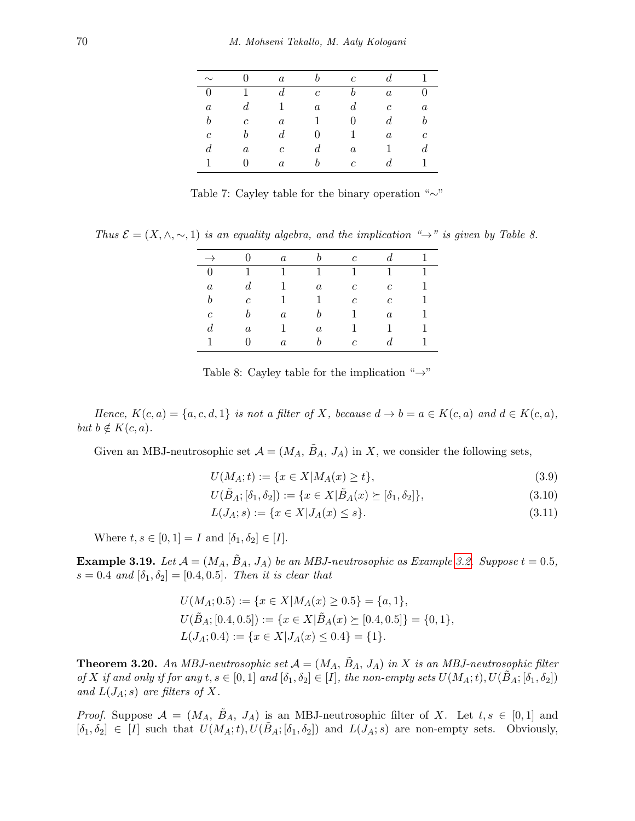| $\sim$           |                  | $\boldsymbol{a}$ |                  | $\mathfrak{c}$   |                  |                  |
|------------------|------------------|------------------|------------------|------------------|------------------|------------------|
| $\overline{0}$   |                  | $\overline{d}$   | $\boldsymbol{c}$ | h                | $\boldsymbol{a}$ |                  |
| $\boldsymbol{a}$ | $\overline{d}$   |                  | $\boldsymbol{a}$ | $\boldsymbol{d}$ | $\boldsymbol{c}$ | $\boldsymbol{a}$ |
| b                | $\boldsymbol{c}$ | $\boldsymbol{a}$ | 1                | $\theta$         | $\boldsymbol{d}$ | b                |
| $\boldsymbol{c}$ |                  | $\boldsymbol{d}$ |                  |                  | $\boldsymbol{a}$ | с                |
| $\boldsymbol{d}$ | $\it a$          | $\mathfrak{c}$   | d                | $\boldsymbol{a}$ |                  | $\it d$          |
|                  |                  | $\alpha$         |                  | $\mathfrak{c}$   |                  |                  |

Table 7: Cayley table for the binary operation "∼"

Thus  $\mathcal{E} = (X, \wedge, \sim, 1)$  is an equality algebra, and the implication " $\rightarrow$ " is given by Table 8.

|                  |                  | $\boldsymbol{a}$ |                  | $\mathfrak{c}$   | $d_{-}$          |   |
|------------------|------------------|------------------|------------------|------------------|------------------|---|
| $\overline{0}$   | 1                | 1                | 1                | 1                | 1                | 1 |
| $\it a$          | $\boldsymbol{d}$ |                  | $\boldsymbol{a}$ | $\boldsymbol{c}$ | $\boldsymbol{c}$ |   |
| b                | $\overline{c}$   |                  | 1                | $\boldsymbol{c}$ | $\mathfrak{c}$   |   |
| с                | b                | $\boldsymbol{a}$ |                  |                  | $\boldsymbol{a}$ |   |
| $\boldsymbol{d}$ | $\boldsymbol{a}$ |                  | $\boldsymbol{a}$ |                  |                  |   |
|                  |                  | $\boldsymbol{a}$ | h                | $\mathfrak{c}$   | d.               |   |

Table 8: Cayley table for the implication " $\rightarrow$ "

Hence,  $K(c, a) = \{a, c, d, 1\}$  is not a filter of X, because  $d \to b = a \in K(c, a)$  and  $d \in K(c, a)$ , but  $b \notin K(c, a)$ .

Given an MBJ-neutrosophic set  $\mathcal{A} = (M_A, \tilde{B}_A, J_A)$  in X, we consider the following sets,

$$
U(M_A; t) := \{ x \in X | M_A(x) \ge t \},\tag{3.9}
$$

$$
U(\tilde{B}_A; [\delta_1, \delta_2]) := \{ x \in X | \tilde{B}_A(x) \succeq [\delta_1, \delta_2] \},\tag{3.10}
$$

$$
L(J_A; s) := \{ x \in X | J_A(x) \le s \}. \tag{3.11}
$$

Where  $t, s \in [0, 1] = I$  and  $[\delta_1, \delta_2] \in [I]$ .

**Example 3.19.** Let  $A = (M_A, B_A, J_A)$  be an MBJ-neutrosophic as Example [3.2.](#page-3-0) Suppose  $t = 0.5$ ,  $s = 0.4$  and  $[\delta_1, \delta_2] = [0.4, 0.5]$ . Then it is clear that

$$
U(M_A; 0.5) := \{x \in X | M_A(x) \ge 0.5\} = \{a, 1\},
$$
  
\n
$$
U(\tilde{B}_A; [0.4, 0.5]) := \{x \in X | \tilde{B}_A(x) \succeq [0.4, 0.5] \} = \{0, 1\},
$$
  
\n
$$
L(J_A; 0.4) := \{x \in X | J_A(x) \le 0.4\} = \{1\}.
$$

**Theorem 3.20.** An MBJ-neutrosophic set  $A = (M_A, \tilde{B}_A, J_A)$  in X is an MBJ-neutrosophic filter of X if and only if for any  $t, s \in [0,1]$  and  $[\delta_1, \delta_2] \in [I]$ , the non-empty sets  $U(M_A; t), U(\tilde{B}_A; [\delta_1, \delta_2])$ and  $L(J_A; s)$  are filters of X.

*Proof.* Suppose  $\mathcal{A} = (M_A, B_A, J_A)$  is an MBJ-neutrosophic filter of X. Let  $t, s \in [0,1]$  and  $[\delta_1, \delta_2] \in [I]$  such that  $U(M_A; t), U(\tilde{B}_A; [\delta_1, \delta_2])$  and  $L(J_A; s)$  are non-empty sets. Obviously,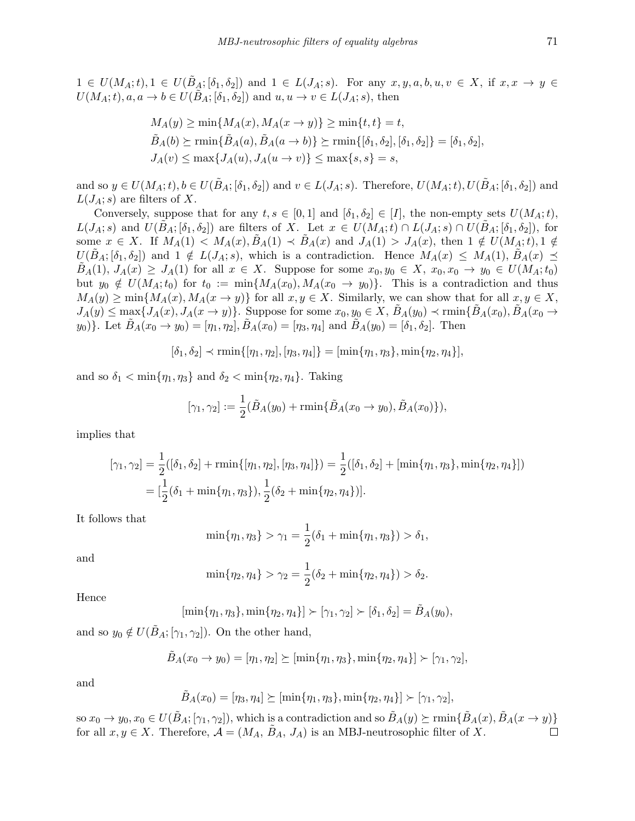$1 \in U(M_A; t), 1 \in U(B_A; [\delta_1, \delta_2])$  and  $1 \in L(J_A; s)$ . For any  $x, y, a, b, u, v \in X$ , if  $x, x \to y \in$  $U(M_A;t), a, a \to b \in U(\tilde{B}_A; [\delta_1, \delta_2])$  and  $u, u \to v \in L(J_A; s)$ , then

$$
M_A(y) \ge \min\{M_A(x), M_A(x \to y)\} \ge \min\{t, t\} = t,
$$
  
\n
$$
\tilde{B}_A(b) \ge \min\{\tilde{B}_A(a), \tilde{B}_A(a \to b)\} \ge \min\{[\delta_1, \delta_2], [\delta_1, \delta_2]\} = [\delta_1, \delta_2],
$$
  
\n
$$
J_A(v) \le \max\{J_A(u), J_A(u \to v)\} \le \max\{s, s\} = s,
$$

and so  $y \in U(M_A; t), b \in U(\tilde{B}_A; [\delta_1, \delta_2])$  and  $v \in L(J_A; s)$ . Therefore,  $U(M_A; t), U(\tilde{B}_A; [\delta_1, \delta_2])$  and  $L(J_A; s)$  are filters of X.

Conversely, suppose that for any  $t, s \in [0,1]$  and  $[\delta_1, \delta_2] \in [I]$ , the non-empty sets  $U(M_A; t)$ ,  $L(J_A; s)$  and  $U(B_A; [\delta_1, \delta_2])$  are filters of X. Let  $x \in U(M_A; t) \cap L(J_A; s) \cap U(B_A; [\delta_1, \delta_2])$ , for some  $x \in X$ . If  $M_A(1) < M_A(x), B_A(1) < B_A(x)$  and  $J_A(1) > J_A(x)$ , then  $1 \notin U(M_A; t), 1 \notin I$  $U(B_A; [\delta_1, \delta_2])$  and  $1 \notin L(J_A; s)$ , which is a contradiction. Hence  $M_A(x) \leq M_A(1), B_A(x) \leq$  $B_A(1), J_A(x) \geq J_A(1)$  for all  $x \in X$ . Suppose for some  $x_0, y_0 \in X$ ,  $x_0, x_0 \to y_0 \in U(M_A; t_0)$ but  $y_0 \notin U(M_A;t_0)$  for  $t_0 := \min\{M_A(x_0), M_A(x_0 \to y_0)\}.$  This is a contradiction and thus  $M_A(y) \ge \min\{M_A(x), M_A(x \to y)\}\$ for all  $x, y \in X$ . Similarly, we can show that for all  $x, y \in X$ ,  $J_A(y) \le \max\{J_A(x), J_A(x \to y)\}\.$  Suppose for some  $x_0, y_0 \in X$ ,  $\ddot{B}_A(y_0) \prec \min\{\ddot{B}_A(x_0), \ddot{B}_A(x_0 \to y_0)\}\.$  $y_0$ ). Let  $\hat{B}_A(x_0 \to y_0) = [\eta_1, \eta_2], \hat{B}_A(x_0) = [\eta_3, \eta_4]$  and  $\hat{B}_A(y_0) = [\delta_1, \delta_2].$  Then

 $[\delta_1, \delta_2] \prec \min\{[\eta_1, \eta_2], [\eta_3, \eta_4]\} = [\min\{\eta_1, \eta_3\}, \min\{\eta_2, \eta_4\}],$ 

and so  $\delta_1 < \min\{\eta_1, \eta_3\}$  and  $\delta_2 < \min\{\eta_2, \eta_4\}$ . Taking

$$
[\gamma_1, \gamma_2] := \frac{1}{2} (\tilde{B}_A(y_0) + \min{\{\tilde{B}_A(x_0 \to y_0), \tilde{B}_A(x_0)\}}),
$$

implies that

$$
[\gamma_1, \gamma_2] = \frac{1}{2}([\delta_1, \delta_2] + \min\{[\eta_1, \eta_2], [\eta_3, \eta_4]\}) = \frac{1}{2}([\delta_1, \delta_2] + [\min\{\eta_1, \eta_3\}, \min\{\eta_2, \eta_4\}])
$$
  
=  $[\frac{1}{2}(\delta_1 + \min\{\eta_1, \eta_3\}), \frac{1}{2}(\delta_2 + \min\{\eta_2, \eta_4\})].$ 

It follows that

$$
\min{\eta_1, \eta_3} > \gamma_1 = \frac{1}{2}(\delta_1 + \min{\eta_1, \eta_3}) > \delta_1,
$$

and

$$
\min\{\eta_2, \eta_4\} > \gamma_2 = \frac{1}{2}(\delta_2 + \min\{\eta_2, \eta_4\}) > \delta_2.
$$

Hence

$$
[\min{\{\eta_1, \eta_3\}}, \min{\{\eta_2, \eta_4\}}] \succ [\gamma_1, \gamma_2] \succ [\delta_1, \delta_2] = \tilde{B}_A(y_0),
$$

and so  $y_0 \notin U(\tilde{B}_A; [\gamma_1, \gamma_2])$ . On the other hand,

$$
\tilde{B}_A(x_0 \to y_0) = [\eta_1, \eta_2] \succeq [\min{\eta_1, \eta_3}, \min{\eta_2, \eta_4}] \succ [\gamma_1, \gamma_2],
$$

and

$$
\tilde{B}_A(x_0) = [\eta_3, \eta_4] \succeq [\min{\eta_1, \eta_3}, \min{\eta_2, \eta_4}] \succ [\gamma_1, \gamma_2],
$$

so  $x_0 \to y_0, x_0 \in U(\tilde{B}_A; [\gamma_1, \gamma_2])$ , which is a contradiction and so  $\tilde{B}_A(y) \succeq \min\{\tilde{B}_A(x), \tilde{B}_A(x \to y)\}\$ for all  $x, y \in X$ . Therefore,  $\mathcal{A} = (M_A, \tilde{B}_A, J_A)$  is an MBJ-neutrosophic filter of X. П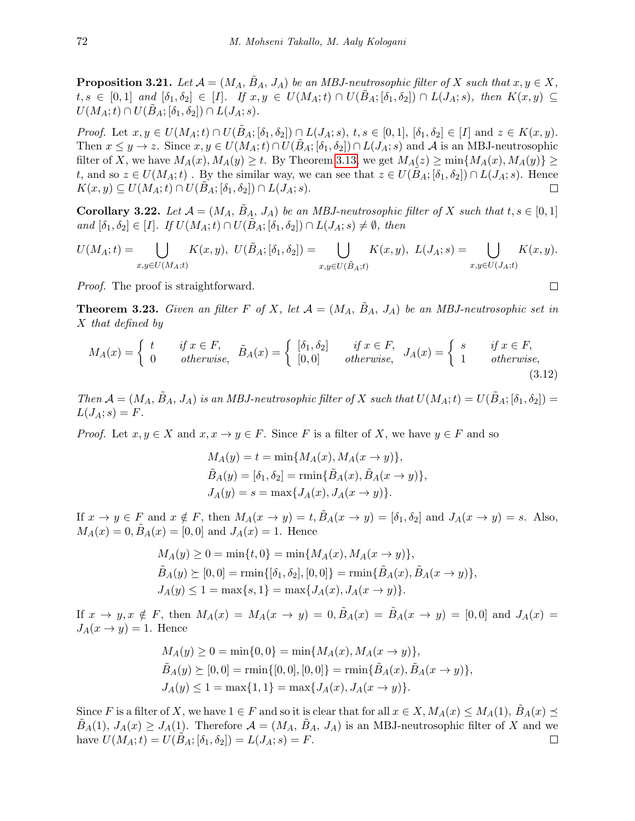**Proposition 3.21.** Let  $\mathcal{A} = (M_A, B_A, J_A)$  be an MBJ-neutrosophic filter of X such that  $x, y \in X$ ,  $t,s \in [0,1]$  and  $[\delta_1,\delta_2] \in [I]$ . If  $x,y \in U(M_A;t) \cap U(\tilde{B}_A;[\delta_1,\delta_2]) \cap L(J_A;s)$ , then  $K(x,y) \subseteq$  $U(M_A;t) \cap U(B_A;[\delta_1,\delta_2]) \cap L(J_A;s).$ 

*Proof.* Let  $x, y \in U(M_A; t) \cap U(B_A; [\delta_1, \delta_2]) \cap L(J_A; s), t, s \in [0, 1], [\delta_1, \delta_2] \in [I]$  and  $z \in K(x, y)$ . Then  $x \leq y \to z$ . Since  $x, y \in U(M_A; t) \cap U(B_A; [\delta_1, \delta_2]) \cap L(J_A; s)$  and A is an MBJ-neutrosophic filter of X, we have  $M_A(x)$ ,  $M_A(y) \ge t$ . By Theorem [3.13,](#page-8-1) we get  $M_A(z) \ge \min\{M_A(x), M_A(y)\} \ge$ t, and so  $z \in U(M_A;t)$ . By the similar way, we can see that  $z \in U(B_A;[\delta_1,\delta_2]) \cap L(J_A;s)$ . Hence  $K(x, y) \subseteq U(M_A; t) \cap U(B_A; [\delta_1, \delta_2]) \cap L(J_A; s).$ П

**Corollary 3.22.** Let  $\mathcal{A} = (M_A, \tilde{B}_A, J_A)$  be an MBJ-neutrosophic filter of X such that  $t, s \in [0, 1]$ and  $[\delta_1, \delta_2] \in [I]$ . If  $U(M_A; t) \cap U(B_A; [\delta_1, \delta_2]) \cap L(J_A; s) \neq \emptyset$ , then

$$
U(M_A;t) = \bigcup_{x,y \in U(M_A;t)} K(x,y), \ U(\tilde{B}_A;[\delta_1,\delta_2]) = \bigcup_{x,y \in U(\tilde{B}_A;t)} K(x,y), \ L(J_A;s) = \bigcup_{x,y \in U(J_A;t)} K(x,y).
$$

Proof. The proof is straightforward.

**Theorem 3.23.** Given an filter F of X, let  $A = (M_A, \tilde{B}_A, J_A)$  be an MBJ-neutrosophic set in X that defined by

$$
M_A(x) = \begin{cases} t & \text{if } x \in F, \\ 0 & \text{otherwise,} \end{cases} \quad \tilde{B}_A(x) = \begin{cases} [\delta_1, \delta_2] & \text{if } x \in F, \\ [0, 0] & \text{otherwise,} \end{cases} \quad J_A(x) = \begin{cases} s & \text{if } x \in F, \\ 1 & \text{otherwise,} \end{cases} \tag{3.12}
$$

Then  $\mathcal{A} = (M_A, \tilde{B}_A, J_A)$  is an MBJ-neutrosophic filter of X such that  $U(M_A; t) = U(\tilde{B}_A; [\delta_1, \delta_2])$  $L(J_A; s) = F.$ 

*Proof.* Let  $x, y \in X$  and  $x, x \to y \in F$ . Since F is a filter of X, we have  $y \in F$  and so

$$
M_A(y) = t = \min\{M_A(x), M_A(x \to y)\},\
$$
  
\n
$$
\tilde{B}_A(y) = [\delta_1, \delta_2] = \min\{\tilde{B}_A(x), \tilde{B}_A(x \to y)\},\
$$
  
\n
$$
J_A(y) = s = \max\{J_A(x), J_A(x \to y)\}.
$$

If  $x \to y \in F$  and  $x \notin F$ , then  $M_A(x \to y) = t$ ,  $B_A(x \to y) = [\delta_1, \delta_2]$  and  $J_A(x \to y) = s$ . Also,  $M_A(x) = 0, B_A(x) = [0, 0]$  and  $J_A(x) = 1$ . Hence

$$
M_A(y) \ge 0 = \min\{t, 0\} = \min\{M_A(x), M_A(x \to y)\},
$$
  
\n
$$
\tilde{B}_A(y) \ge [0, 0] = \min\{[\delta_1, \delta_2], [0, 0]\} = \min\{\tilde{B}_A(x), \tilde{B}_A(x \to y)\},
$$
  
\n
$$
J_A(y) \le 1 = \max\{s, 1\} = \max\{J_A(x), J_A(x \to y)\}.
$$

If  $x \to y, x \notin F$ , then  $M_A(x) = M_A(x \to y) = 0, B_A(x) = B_A(x \to y) = [0, 0]$  and  $J_A(x) =$  $J_A(x \to y) = 1$ . Hence

$$
M_A(y) \ge 0 = \min\{0, 0\} = \min\{M_A(x), M_A(x \to y)\},
$$
  
\n
$$
\tilde{B}_A(y) \ge [0, 0] = \min\{[0, 0], [0, 0]\} = \min\{\tilde{B}_A(x), \tilde{B}_A(x \to y)\},
$$
  
\n
$$
J_A(y) \le 1 = \max\{1, 1\} = \max\{J_A(x), J_A(x \to y)\}.
$$

Since F is a filter of X, we have  $1 \in F$  and so it is clear that for all  $x \in X$ ,  $M_A(x) \leq M_A(1)$ ,  $B_A(x) \preceq$  $B_A(1), J_A(x) \geq J_A(1)$ . Therefore  $\mathcal{A} = (M_A, B_A, J_A)$  is an MBJ-neutrosophic filter of X and we have  $U(M_A;t) = U(B_A; [\delta_1, \delta_2]) = L(J_A;s) = F.$  $\Box$ 

<span id="page-15-0"></span>
$$
\qquad \qquad \Box
$$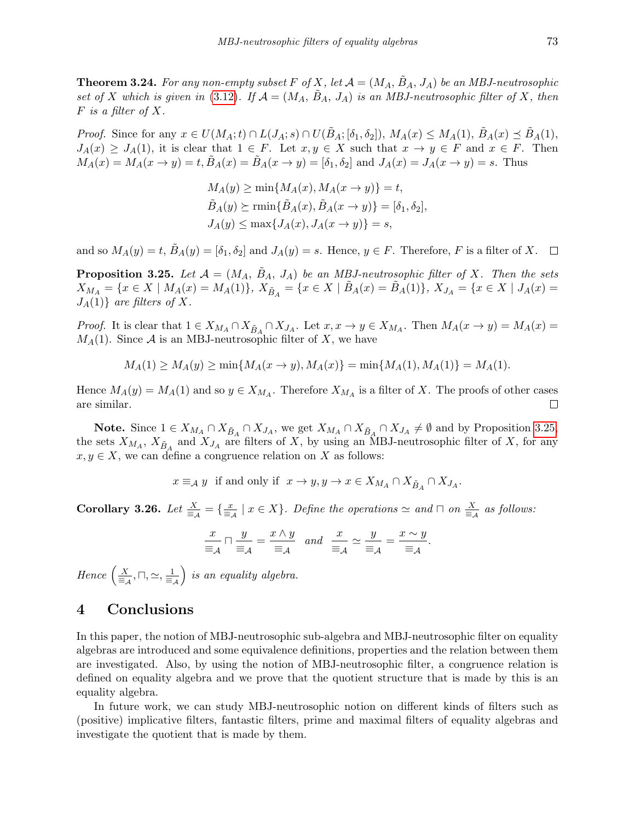**Theorem 3.24.** For any non-empty subset F of X, let  $A = (M_A, B_A, J_A)$  be an MBJ-neutrosophic set of X which is given in [\(3.12\)](#page-15-0). If  $\mathcal{A} = (M_A, \tilde{B}_A, J_A)$  is an MBJ-neutrosophic filter of X, then  $F$  is a filter of X.

*Proof.* Since for any  $x \in U(M_A;t) \cap L(J_A;s) \cap U(\tilde{B}_A;[\delta_1,\delta_2])$ ,  $M_A(x) \leq M_A(1)$ ,  $\tilde{B}_A(x) \preceq \tilde{B}_A(1)$ ,  $J_A(x) \geq J_A(1)$ , it is clear that  $1 \in F$ . Let  $x, y \in X$  such that  $x \to y \in F$  and  $x \in F$ . Then  $M_A(x) = M_A(x \to y) = t, B_A(x) = B_A(x \to y) = [\delta_1, \delta_2]$  and  $J_A(x) = J_A(x \to y) = s$ . Thus

$$
M_A(y) \ge \min\{M_A(x), M_A(x \to y)\} = t,
$$
  
\n
$$
\tilde{B}_A(y) \ge \min\{\tilde{B}_A(x), \tilde{B}_A(x \to y)\} = [\delta_1, \delta_2],
$$
  
\n
$$
J_A(y) \le \max\{J_A(x), J_A(x \to y)\} = s,
$$

and so  $M_A(y) = t$ ,  $\tilde{B}_A(y) = [\delta_1, \delta_2]$  and  $J_A(y) = s$ . Hence,  $y \in F$ . Therefore, F is a filter of X.  $\Box$ 

<span id="page-16-0"></span>**Proposition 3.25.** Let  $\mathcal{A} = (M_A, \tilde{B}_A, J_A)$  be an MBJ-neutrosophic filter of X. Then the sets  $X_{M_A} = \{x \in X \mid M_A(x) = M_A(1)\},\ X_{\tilde{B}_A} = \{x \in X \mid \tilde{B}_A(x) = \tilde{B}_A(1)\},\ X_{J_A} = \{x \in X \mid J_A(x) = \tilde{B}_A(x)\}$  $J_A(1)$  are filters of X.

*Proof.* It is clear that  $1 \in X_{M_A} \cap X_{\tilde{B}_A} \cap X_{J_A}$ . Let  $x, x \to y \in X_{M_A}$ . Then  $M_A(x \to y) = M_A(x) =$  $M_A(1)$ . Since A is an MBJ-neutrosophic filter of X, we have

$$
M_A(1) \ge M_A(y) \ge \min\{M_A(x \to y), M_A(x)\} = \min\{M_A(1), M_A(1)\} = M_A(1).
$$

Hence  $M_A(y) = M_A(1)$  and so  $y \in X_{M_A}$ . Therefore  $X_{M_A}$  is a filter of X. The proofs of other cases are similar.  $\Box$ 

**Note.** Since  $1 \in X_{M_A} \cap X_{\tilde{B}_A} \cap X_{J_A}$ , we get  $X_{M_A} \cap X_{\tilde{B}_A} \cap X_{J_A} \neq \emptyset$  and by Proposition [3.25,](#page-16-0) the sets  $X_{M_A}$ ,  $X_{\tilde{B}_A}$  and  $X_{J_A}$  are filters of X, by using an MBJ-neutrosophic filter of X, for any  $x, y \in X$ , we can define a congruence relation on X as follows:

$$
x \equiv_A y
$$
 if and only if  $x \to y, y \to x \in X_{M_A} \cap X_{\tilde{B}_A} \cap X_{J_A}$ .

**Corollary 3.26.** Let  $\frac{X}{\equiv_{\mathcal{A}}} = \{\frac{x}{\equiv_{\mathcal{A}}} \mid x \in X\}$ . Define the operations  $\simeq$  and  $\Box$  on  $\frac{X}{\equiv_{\mathcal{A}}}$  as follows:

$$
\frac{x}{\equiv_{\mathcal{A}}} \sqcap \frac{y}{\equiv_{\mathcal{A}}} = \frac{x \wedge y}{\equiv_{\mathcal{A}}} \quad and \quad \frac{x}{\equiv_{\mathcal{A}}} \simeq \frac{y}{\equiv_{\mathcal{A}}} = \frac{x \sim y}{\equiv_{\mathcal{A}}}.
$$

Hence  $\left(\frac{X}{\equiv_{\mathcal{A}}},\sqcap,\simeq,\frac{1}{\equiv_{\mathcal{A}}} \right)$  $\big)$  is an equality algebra.

## 4 Conclusions

In this paper, the notion of MBJ-neutrosophic sub-algebra and MBJ-neutrosophic filter on equality algebras are introduced and some equivalence definitions, properties and the relation between them are investigated. Also, by using the notion of MBJ-neutrosophic filter, a congruence relation is defined on equality algebra and we prove that the quotient structure that is made by this is an equality algebra.

In future work, we can study MBJ-neutrosophic notion on different kinds of filters such as (positive) implicative filters, fantastic filters, prime and maximal filters of equality algebras and investigate the quotient that is made by them.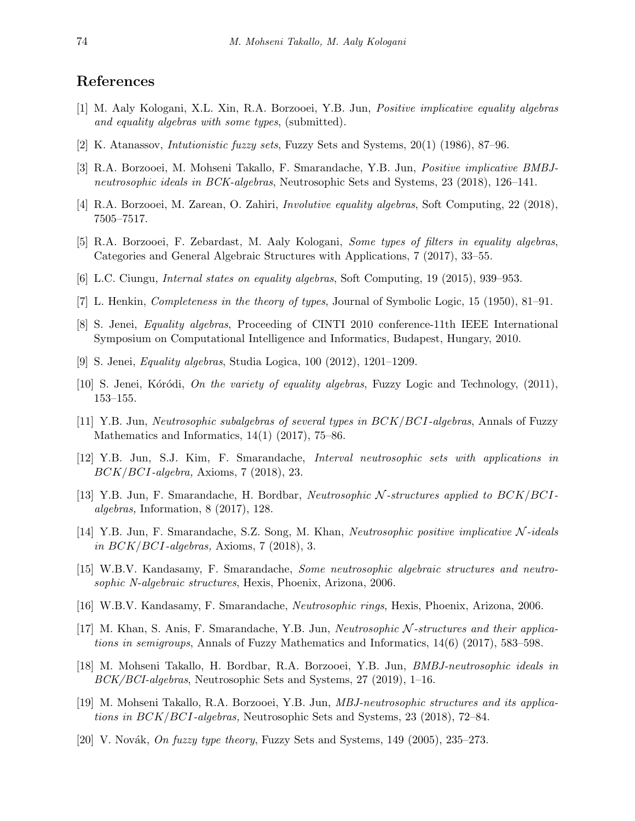## References

- <span id="page-17-8"></span>[1] M. Aaly Kologani, X.L. Xin, R.A. Borzooei, Y.B. Jun, Positive implicative equality algebras and equality algebras with some types, (submitted).
- [2] K. Atanassov, Intutionistic fuzzy sets, Fuzzy Sets and Systems, 20(1) (1986), 87–96.
- [3] R.A. Borzooei, M. Mohseni Takallo, F. Smarandache, Y.B. Jun, Positive implicative BMBJneutrosophic ideals in BCK-algebras, Neutrosophic Sets and Systems, 23 (2018), 126–141.
- [4] R.A. Borzooei, M. Zarean, O. Zahiri, Involutive equality algebras, Soft Computing, 22 (2018), 7505–7517.
- [5] R.A. Borzooei, F. Zebardast, M. Aaly Kologani, Some types of filters in equality algebras, Categories and General Algebraic Structures with Applications, 7 (2017), 33–55.
- [6] L.C. Ciungu, Internal states on equality algebras, Soft Computing, 19 (2015), 939–953.
- <span id="page-17-1"></span>[7] L. Henkin, Completeness in the theory of types, Journal of Symbolic Logic, 15 (1950), 81–91.
- <span id="page-17-7"></span>[8] S. Jenei, Equality algebras, Proceeding of CINTI 2010 conference-11th IEEE International Symposium on Computational Intelligence and Informatics, Budapest, Hungary, 2010.
- <span id="page-17-6"></span>[9] S. Jenei, Equality algebras, Studia Logica, 100 (2012), 1201–1209.
- <span id="page-17-2"></span>[10] S. Jenei, Kóródi, *On the variety of equality algebras*, Fuzzy Logic and Technology,  $(2011)$ , 153–155.
- [11] Y.B. Jun, Neutrosophic subalgebras of several types in BCK/BCI-algebras, Annals of Fuzzy Mathematics and Informatics, 14(1) (2017), 75–86.
- [12] Y.B. Jun, S.J. Kim, F. Smarandache, Interval neutrosophic sets with applications in BCK/BCI-algebra, Axioms, 7 (2018), 23.
- [13] Y.B. Jun, F. Smarandache, H. Bordbar, Neutrosophic N -structures applied to BCK/BCIalgebras, Information, 8 (2017), 128.
- [14] Y.B. Jun, F. Smarandache, S.Z. Song, M. Khan, Neutrosophic positive implicative N -ideals in  $BCK/BCI$ -algebras, Axioms, 7 (2018), 3.
- <span id="page-17-3"></span>[15] W.B.V. Kandasamy, F. Smarandache, Some neutrosophic algebraic structures and neutrosophic N-algebraic structures, Hexis, Phoenix, Arizona, 2006.
- <span id="page-17-4"></span>[16] W.B.V. Kandasamy, F. Smarandache, Neutrosophic rings, Hexis, Phoenix, Arizona, 2006.
- [17] M. Khan, S. Anis, F. Smarandache, Y.B. Jun, Neutrosophic N -structures and their applications in semigroups, Annals of Fuzzy Mathematics and Informatics, 14(6) (2017), 583–598.
- [18] M. Mohseni Takallo, H. Bordbar, R.A. Borzooei, Y.B. Jun, BMBJ-neutrosophic ideals in BCK/BCI-algebras, Neutrosophic Sets and Systems, 27 (2019), 1–16.
- <span id="page-17-5"></span>[19] M. Mohseni Takallo, R.A. Borzooei, Y.B. Jun, MBJ-neutrosophic structures and its applications in BCK/BCI-algebras, Neutrosophic Sets and Systems, 23 (2018), 72–84.
- <span id="page-17-0"></span>[20] V. Novák, On fuzzy type theory, Fuzzy Sets and Systems,  $149$  (2005),  $235-273$ .